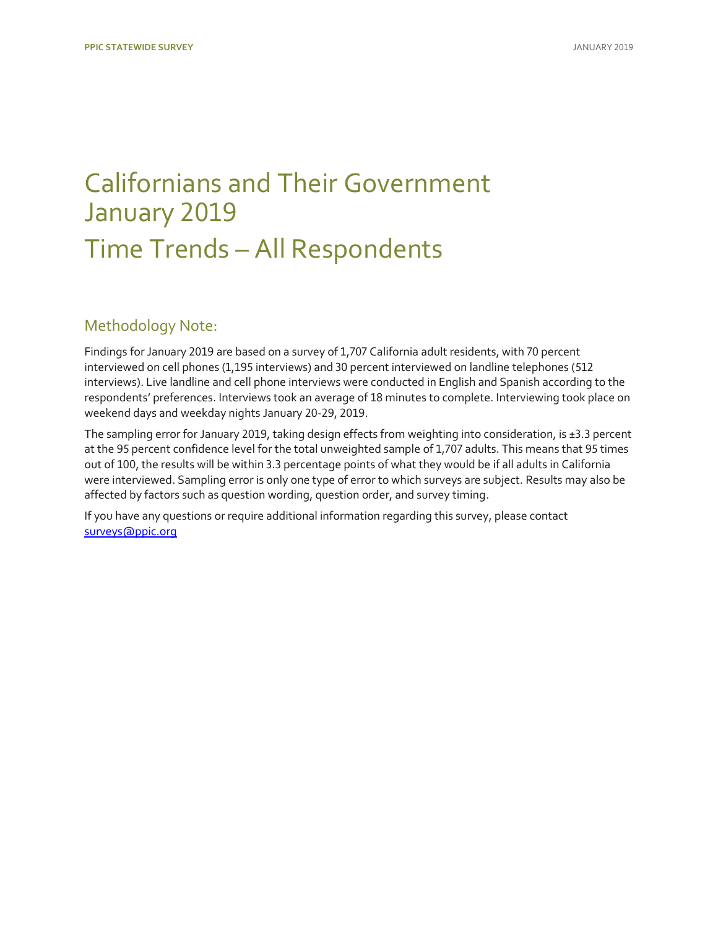## [Californians and Their Government](https://www.ppic.org/publication/ppic-statewide-survey-californians-and-their-government-january-2019/) January 2019 Time Trends – All Respondents

### Methodology Note:

Findings for January 2019 are based on a survey of 1,707 California adult residents, with 70 percent interviewed on cell phones (1,195 interviews) and 30 percent interviewed on landline telephones (512 interviews). Live landline and cell phone interviews were conducted in English and Spanish according to the respondents' preferences. Interviews took an average of 18 minutes to complete. Interviewing took place on weekend days and weekday nights January 20-29, 2019.

The sampling error for January 2019, taking design effects from weighting into consideration, is ±3.3 percent at the 95 percent confidence level for the total unweighted sample of 1,707 adults. This means that 95 times out of 100, the results will be within 3.3 percentage points of what they would be if all adults in California were interviewed. Sampling error is only one type of error to which surveys are subject. Results may also be affected by factors such as question wording, question order, and survey timing.

If you have any questions or require additional information regarding this survey, please contact [surveys@ppic.org](mailto:surveys@ppic.org)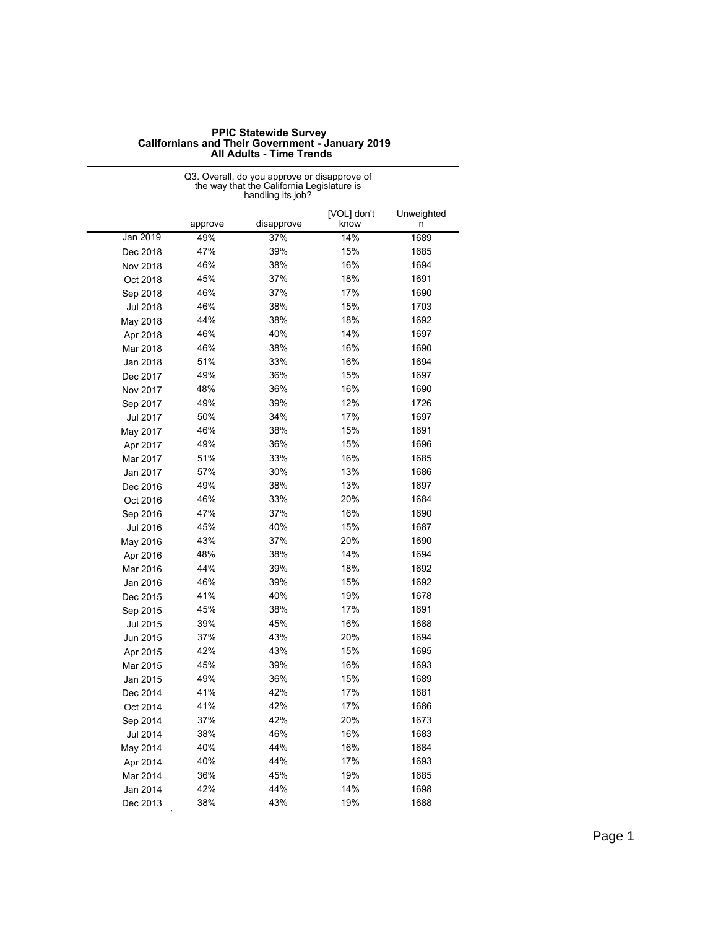|          | Q3. Overall, do you approve or disapprove of<br>the way that the California Legislature is<br>handling its job? |            |                     |                 |
|----------|-----------------------------------------------------------------------------------------------------------------|------------|---------------------|-----------------|
|          | approve                                                                                                         | disapprove | [VOL] don't<br>know | Unweighted<br>n |
| Jan 2019 | 49%                                                                                                             | 37%        | 14%                 | 1689            |
| Dec 2018 | 47%                                                                                                             | 39%        | 15%                 | 1685            |
| Nov 2018 | 46%                                                                                                             | 38%        | 16%                 | 1694            |
| Oct 2018 | 45%                                                                                                             | 37%        | 18%                 | 1691            |
| Sep 2018 | 46%                                                                                                             | 37%        | 17%                 | 1690            |
| Jul 2018 | 46%                                                                                                             | 38%        | 15%                 | 1703            |
| May 2018 | 44%                                                                                                             | 38%        | 18%                 | 1692            |
| Apr 2018 | 46%                                                                                                             | 40%        | 14%                 | 1697            |
| Mar 2018 | 46%                                                                                                             | 38%        | 16%                 | 1690            |
| Jan 2018 | 51%                                                                                                             | 33%        | 16%                 | 1694            |
| Dec 2017 | 49%                                                                                                             | 36%        | 15%                 | 1697            |
| Nov 2017 | 48%                                                                                                             | 36%        | 16%                 | 1690            |
| Sep 2017 | 49%                                                                                                             | 39%        | 12%                 | 1726            |
| Jul 2017 | 50%                                                                                                             | 34%        | 17%                 | 1697            |
| May 2017 | 46%                                                                                                             | 38%        | 15%                 | 1691            |
| Apr 2017 | 49%                                                                                                             | 36%        | 15%                 | 1696            |
| Mar 2017 | 51%                                                                                                             | 33%        | 16%                 | 1685            |
| Jan 2017 | 57%                                                                                                             | 30%        | 13%                 | 1686            |
| Dec 2016 | 49%                                                                                                             | 38%        | 13%                 | 1697            |
| Oct 2016 | 46%                                                                                                             | 33%        | 20%                 | 1684            |
| Sep 2016 | 47%                                                                                                             | 37%        | 16%                 | 1690            |
| Jul 2016 | 45%                                                                                                             | 40%        | 15%                 | 1687            |
| May 2016 | 43%                                                                                                             | 37%        | 20%                 | 1690            |
| Apr 2016 | 48%                                                                                                             | 38%        | 14%                 | 1694            |
| Mar 2016 | 44%                                                                                                             | 39%        | 18%                 | 1692            |
| Jan 2016 | 46%                                                                                                             | 39%        | 15%                 | 1692            |
| Dec 2015 | 41%                                                                                                             | 40%        | 19%                 | 1678            |
| Sep 2015 | 45%                                                                                                             | 38%        | 17%                 | 1691            |
| Jul 2015 | 39%                                                                                                             | 45%        | 16%                 | 1688            |
| Jun 2015 | 37%                                                                                                             | 43%        | 20%                 | 1694            |
| Apr 2015 | 42%                                                                                                             | 43%        | 15%                 | 1695            |
| Mar 2015 | 45%                                                                                                             | 39%        | 16%                 | 1693            |
| Jan 2015 | 49%                                                                                                             | 36%        | 15%                 | 1689            |
| Dec 2014 | 41%                                                                                                             | 42%        | 17%                 | 1681            |
| Oct 2014 | 41%                                                                                                             | 42%        | 17%                 | 1686            |
| Sep 2014 | 37%                                                                                                             | 42%        | 20%                 | 1673            |
| Jul 2014 | 38%                                                                                                             | 46%        | 16%                 | 1683            |
| May 2014 | 40%                                                                                                             | 44%        | 16%                 | 1684            |
| Apr 2014 | 40%                                                                                                             | 44%        | 17%                 | 1693            |
| Mar 2014 | 36%                                                                                                             | 45%        | 19%                 | 1685            |
| Jan 2014 | 42%                                                                                                             | 44%        | 14%                 | 1698            |
| Dec 2013 | 38%                                                                                                             | 43%        | 19%                 | 1688            |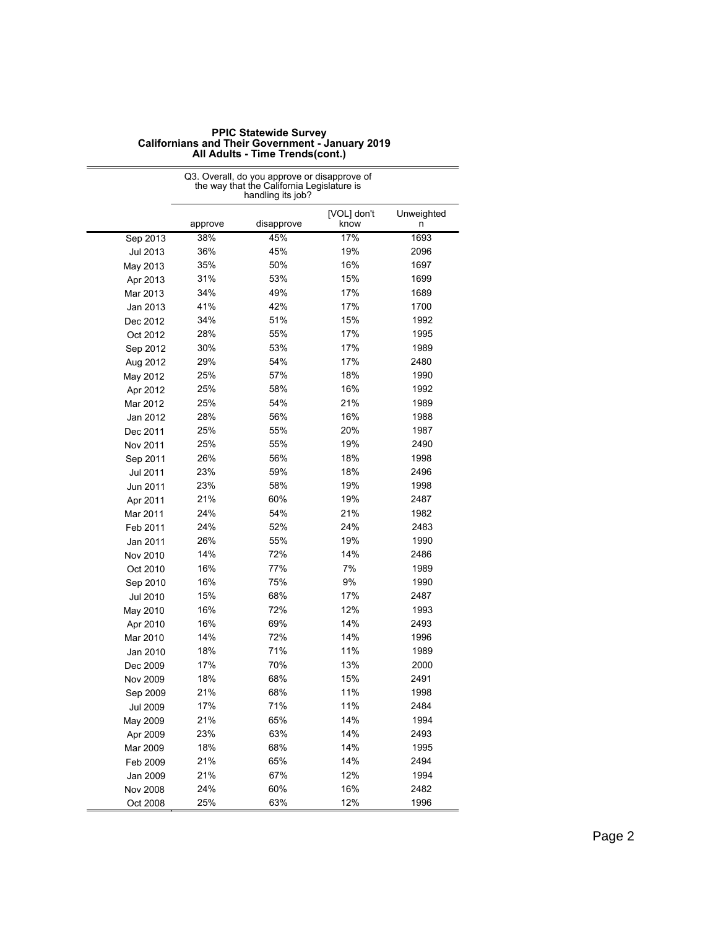|                 | Q3. Overall, do you approve or disapprove of<br>the way that the California Legislature is<br>handling its job? |            |                     |                 |
|-----------------|-----------------------------------------------------------------------------------------------------------------|------------|---------------------|-----------------|
|                 | approve                                                                                                         | disapprove | [VOL] don't<br>know | Unweighted<br>n |
| Sep 2013        | 38%                                                                                                             | 45%        | 17%                 | 1693            |
| Jul 2013        | 36%                                                                                                             | 45%        | 19%                 | 2096            |
| May 2013        | 35%                                                                                                             | 50%        | 16%                 | 1697            |
| Apr 2013        | 31%                                                                                                             | 53%        | 15%                 | 1699            |
| Mar 2013        | 34%                                                                                                             | 49%        | 17%                 | 1689            |
| Jan 2013        | 41%                                                                                                             | 42%        | 17%                 | 1700            |
| Dec 2012        | 34%                                                                                                             | 51%        | 15%                 | 1992            |
| Oct 2012        | 28%                                                                                                             | 55%        | 17%                 | 1995            |
| Sep 2012        | 30%                                                                                                             | 53%        | 17%                 | 1989            |
| Aug 2012        | 29%                                                                                                             | 54%        | 17%                 | 2480            |
| May 2012        | 25%                                                                                                             | 57%        | 18%                 | 1990            |
| Apr 2012        | 25%                                                                                                             | 58%        | 16%                 | 1992            |
| Mar 2012        | 25%                                                                                                             | 54%        | 21%                 | 1989            |
| Jan 2012        | 28%                                                                                                             | 56%        | 16%                 | 1988            |
| Dec 2011        | 25%                                                                                                             | 55%        | 20%                 | 1987            |
| Nov 2011        | 25%                                                                                                             | 55%        | 19%                 | 2490            |
| Sep 2011        | 26%                                                                                                             | 56%        | 18%                 | 1998            |
| Jul 2011        | 23%                                                                                                             | 59%        | 18%                 | 2496            |
| Jun 2011        | 23%                                                                                                             | 58%        | 19%                 | 1998            |
| Apr 2011        | 21%                                                                                                             | 60%        | 19%                 | 2487            |
| Mar 2011        | 24%                                                                                                             | 54%        | 21%                 | 1982            |
| Feb 2011        | 24%                                                                                                             | 52%        | 24%                 | 2483            |
| Jan 2011        | 26%                                                                                                             | 55%        | 19%                 | 1990            |
| Nov 2010        | 14%                                                                                                             | 72%        | 14%                 | 2486            |
| Oct 2010        | 16%                                                                                                             | 77%        | 7%                  | 1989            |
| Sep 2010        | 16%                                                                                                             | 75%        | 9%                  | 1990            |
| Jul 2010        | 15%                                                                                                             | 68%        | 17%                 | 2487            |
| May 2010        | 16%                                                                                                             | 72%        | 12%                 | 1993            |
| Apr 2010        | 16%                                                                                                             | 69%        | 14%                 | 2493            |
| Mar 2010        | 14%                                                                                                             | 72%        | 14%                 | 1996            |
| Jan 2010        | 18%                                                                                                             | 71%        | 11%                 | 1989            |
| Dec 2009        | 17%                                                                                                             | 70%        | 13%                 | 2000            |
| Nov 2009        | 18%                                                                                                             | 68%        | 15%                 | 2491            |
| Sep 2009        | 21%                                                                                                             | 68%        | 11%                 | 1998            |
| <b>Jul 2009</b> | 17%                                                                                                             | 71%        | 11%                 | 2484            |
| May 2009        | 21%                                                                                                             | 65%        | 14%                 | 1994            |
| Apr 2009        | 23%                                                                                                             | 63%        | 14%                 | 2493            |
| Mar 2009        | 18%                                                                                                             | 68%        | 14%                 | 1995            |
| Feb 2009        | 21%                                                                                                             | 65%        | 14%                 | 2494            |
| Jan 2009        | 21%                                                                                                             | 67%        | 12%                 | 1994            |
| Nov 2008        | 24%                                                                                                             | 60%        | 16%                 | 2482            |
| Oct 2008        | 25%                                                                                                             | 63%        | 12%                 | 1996            |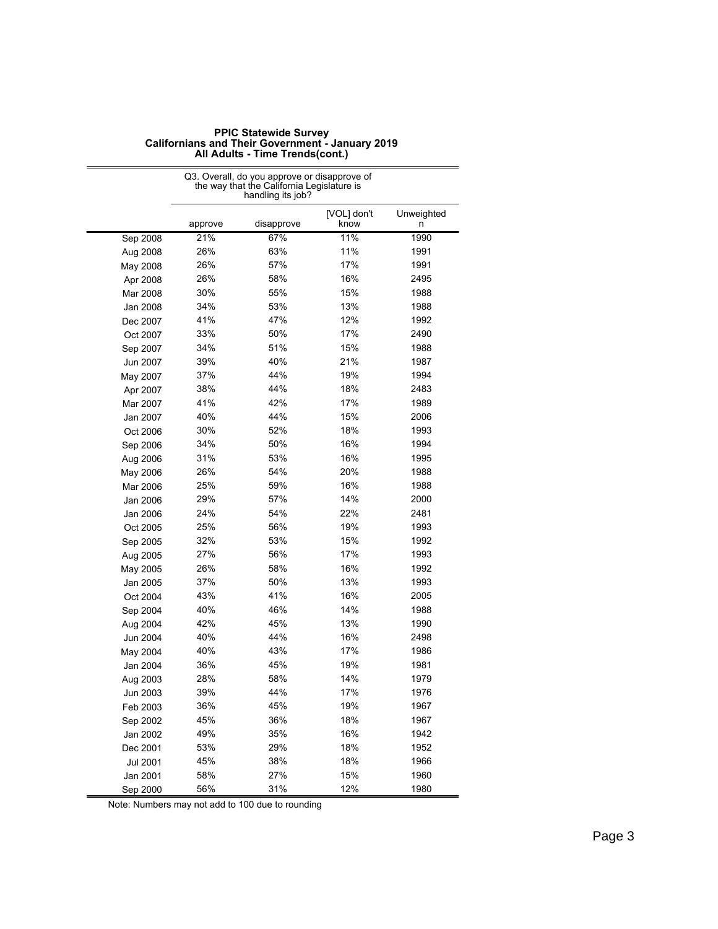|                 | the way that the California Legislature is<br>handling its job? |            |                     |                 |
|-----------------|-----------------------------------------------------------------|------------|---------------------|-----------------|
|                 | approve                                                         | disapprove | [VOL] don't<br>know | Unweighted<br>n |
| Sep 2008        | 21%                                                             | 67%        | 11%                 | 1990            |
| Aug 2008        | 26%                                                             | 63%        | 11%                 | 1991            |
| May 2008        | 26%                                                             | 57%        | 17%                 | 1991            |
| Apr 2008        | 26%                                                             | 58%        | 16%                 | 2495            |
| Mar 2008        | 30%                                                             | 55%        | 15%                 | 1988            |
| Jan 2008        | 34%                                                             | 53%        | 13%                 | 1988            |
| Dec 2007        | 41%                                                             | 47%        | 12%                 | 1992            |
| Oct 2007        | 33%                                                             | 50%        | 17%                 | 2490            |
| Sep 2007        | 34%                                                             | 51%        | 15%                 | 1988            |
| Jun 2007        | 39%                                                             | 40%        | 21%                 | 1987            |
| May 2007        | 37%                                                             | 44%        | 19%                 | 1994            |
| Apr 2007        | 38%                                                             | 44%        | 18%                 | 2483            |
| Mar 2007        | 41%                                                             | 42%        | 17%                 | 1989            |
| Jan 2007        | 40%                                                             | 44%        | 15%                 | 2006            |
| Oct 2006        | 30%                                                             | 52%        | 18%                 | 1993            |
| Sep 2006        | 34%                                                             | 50%        | 16%                 | 1994            |
| Aug 2006        | 31%                                                             | 53%        | 16%                 | 1995            |
| May 2006        | 26%                                                             | 54%        | 20%                 | 1988            |
| Mar 2006        | 25%                                                             | 59%        | 16%                 | 1988            |
| Jan 2006        | 29%                                                             | 57%        | 14%                 | 2000            |
| Jan 2006        | 24%                                                             | 54%        | 22%                 | 2481            |
| Oct 2005        | 25%                                                             | 56%        | 19%                 | 1993            |
| Sep 2005        | 32%                                                             | 53%        | 15%                 | 1992            |
| Aug 2005        | 27%                                                             | 56%        | 17%                 | 1993            |
| May 2005        | 26%                                                             | 58%        | 16%                 | 1992            |
| Jan 2005        | 37%                                                             | 50%        | 13%                 | 1993            |
| Oct 2004        | 43%                                                             | 41%        | 16%                 | 2005            |
| Sep 2004        | 40%                                                             | 46%        | 14%                 | 1988            |
| Aug 2004        | 42%                                                             | 45%        | 13%                 | 1990            |
| Jun 2004        | 40%                                                             | 44%        | 16%                 | 2498            |
| May 2004        | 40%                                                             | 43%        | 17%                 | 1986            |
| Jan 2004        | 36%                                                             | 45%        | 19%                 | 1981            |
| Aug 2003        | 28%                                                             | 58%        | 14%                 | 1979            |
| Jun 2003        | 39%                                                             | 44%        | 17%                 | 1976            |
| Feb 2003        | 36%                                                             | 45%        | 19%                 | 1967            |
| Sep 2002        | 45%                                                             | 36%        | 18%                 | 1967            |
| Jan 2002        | 49%                                                             | 35%        | 16%                 | 1942            |
| Dec 2001        | 53%                                                             | 29%        | 18%                 | 1952            |
| <b>Jul 2001</b> | 45%                                                             | 38%        | 18%                 | 1966            |
| Jan 2001        | 58%                                                             | 27%        | 15%                 | 1960            |
| Sep 2000        | 56%                                                             | 31%        | 12%                 | 1980            |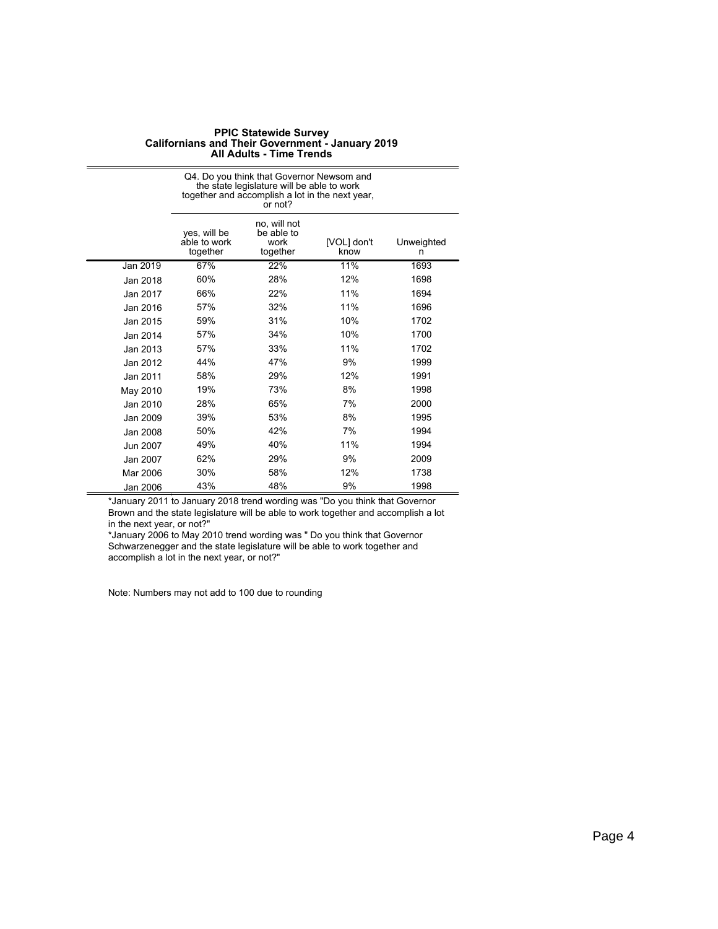|          |                                          | Q4. Do you think that Governor Newsom and<br>the state legislature will be able to work<br>together and accomplish a lot in the next year,<br>or not? |                     |                 |
|----------|------------------------------------------|-------------------------------------------------------------------------------------------------------------------------------------------------------|---------------------|-----------------|
|          | yes, will be<br>able to work<br>together | no, will not<br>be able to<br>work<br>together                                                                                                        | [VOL] don't<br>know | Unweighted<br>n |
| Jan 2019 | 67%                                      | 22%                                                                                                                                                   | 11%                 | 1693            |
| Jan 2018 | 60%                                      | 28%                                                                                                                                                   | 12%                 | 1698            |
| Jan 2017 | 66%                                      | 22%                                                                                                                                                   | 11%                 | 1694            |
| Jan 2016 | 57%                                      | 32%                                                                                                                                                   | 11%                 | 1696            |
| Jan 2015 | 59%                                      | 31%                                                                                                                                                   | 10%                 | 1702            |
| Jan 2014 | 57%                                      | 34%                                                                                                                                                   | 10%                 | 1700            |
| Jan 2013 | 57%                                      | 33%                                                                                                                                                   | 11%                 | 1702            |
| Jan 2012 | 44%                                      | 47%                                                                                                                                                   | 9%                  | 1999            |
| Jan 2011 | 58%                                      | 29%                                                                                                                                                   | 12%                 | 1991            |
| May 2010 | 19%                                      | 73%                                                                                                                                                   | 8%                  | 1998            |
| Jan 2010 | 28%                                      | 65%                                                                                                                                                   | 7%                  | 2000            |
| Jan 2009 | 39%                                      | 53%                                                                                                                                                   | 8%                  | 1995            |
| Jan 2008 | 50%                                      | 42%                                                                                                                                                   | 7%                  | 1994            |
| Jun 2007 | 49%                                      | 40%                                                                                                                                                   | 11%                 | 1994            |
| Jan 2007 | 62%                                      | 29%                                                                                                                                                   | 9%                  | 2009            |
| Mar 2006 | 30%                                      | 58%                                                                                                                                                   | 12%                 | 1738            |
| Jan 2006 | 43%                                      | 48%                                                                                                                                                   | 9%                  | 1998            |

\*January 2011 to January 2018 trend wording was "Do you think that Governor Brown and the state legislature will be able to work together and accomplish a lot in the next year, or not?"

\*January 2006 to May 2010 trend wording was " Do you think that Governor Schwarzenegger and the state legislature will be able to work together and accomplish a lot in the next year, or not?"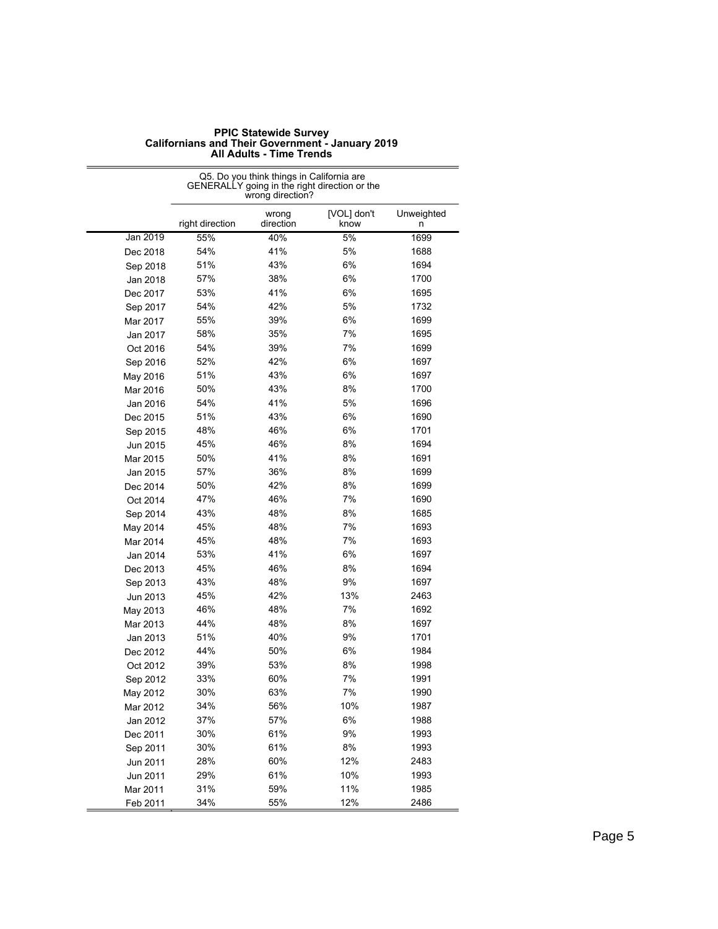|          | Q5. Do you think things in California are<br>GENERALLY going in the right direction or the<br>wrong direction? |                    |                     |                 |
|----------|----------------------------------------------------------------------------------------------------------------|--------------------|---------------------|-----------------|
|          | right direction                                                                                                | wrong<br>direction | [VOL] don't<br>know | Unweighted<br>n |
| Jan 2019 | 55%                                                                                                            | 40%                | 5%                  | 1699            |
| Dec 2018 | 54%                                                                                                            | 41%                | 5%                  | 1688            |
| Sep 2018 | 51%                                                                                                            | 43%                | 6%                  | 1694            |
| Jan 2018 | 57%                                                                                                            | 38%                | 6%                  | 1700            |
| Dec 2017 | 53%                                                                                                            | 41%                | 6%                  | 1695            |
| Sep 2017 | 54%                                                                                                            | 42%                | 5%                  | 1732            |
| Mar 2017 | 55%                                                                                                            | 39%                | 6%                  | 1699            |
| Jan 2017 | 58%                                                                                                            | 35%                | 7%                  | 1695            |
| Oct 2016 | 54%                                                                                                            | 39%                | 7%                  | 1699            |
| Sep 2016 | 52%                                                                                                            | 42%                | 6%                  | 1697            |
| May 2016 | 51%                                                                                                            | 43%                | 6%                  | 1697            |
| Mar 2016 | 50%                                                                                                            | 43%                | 8%                  | 1700            |
| Jan 2016 | 54%                                                                                                            | 41%                | 5%                  | 1696            |
| Dec 2015 | 51%                                                                                                            | 43%                | 6%                  | 1690            |
| Sep 2015 | 48%                                                                                                            | 46%                | 6%                  | 1701            |
| Jun 2015 | 45%                                                                                                            | 46%                | 8%                  | 1694            |
| Mar 2015 | 50%                                                                                                            | 41%                | 8%                  | 1691            |
| Jan 2015 | 57%                                                                                                            | 36%                | 8%                  | 1699            |
| Dec 2014 | 50%                                                                                                            | 42%                | 8%                  | 1699            |
| Oct 2014 | 47%                                                                                                            | 46%                | 7%                  | 1690            |
| Sep 2014 | 43%                                                                                                            | 48%                | 8%                  | 1685            |
| May 2014 | 45%                                                                                                            | 48%                | 7%                  | 1693            |
| Mar 2014 | 45%                                                                                                            | 48%                | 7%                  | 1693            |
| Jan 2014 | 53%                                                                                                            | 41%                | 6%                  | 1697            |
| Dec 2013 | 45%                                                                                                            | 46%                | 8%                  | 1694            |
| Sep 2013 | 43%                                                                                                            | 48%                | 9%                  | 1697            |
| Jun 2013 | 45%                                                                                                            | 42%                | 13%                 | 2463            |
| May 2013 | 46%                                                                                                            | 48%                | 7%                  | 1692            |
| Mar 2013 | 44%                                                                                                            | 48%                | 8%                  | 1697            |
| Jan 2013 | 51%                                                                                                            | 40%                | 9%                  | 1701            |
| Dec 2012 | 44%                                                                                                            | 50%                | 6%                  | 1984            |
| Oct 2012 | 39%                                                                                                            | 53%                | 8%                  | 1998            |
| Sep 2012 | 33%                                                                                                            | 60%                | 7%                  | 1991            |
| May 2012 | 30%                                                                                                            | 63%                | 7%                  | 1990            |
| Mar 2012 | 34%                                                                                                            | 56%                | 10%                 | 1987            |
| Jan 2012 | 37%                                                                                                            | 57%                | 6%                  | 1988            |
| Dec 2011 | 30%                                                                                                            | 61%                | 9%                  | 1993            |
| Sep 2011 | 30%                                                                                                            | 61%                | 8%                  | 1993            |
| Jun 2011 | 28%                                                                                                            | 60%                | 12%                 | 2483            |
| Jun 2011 | 29%                                                                                                            | 61%                | 10%                 | 1993            |
| Mar 2011 | 31%                                                                                                            | 59%                | 11%                 | 1985            |
| Feb 2011 | 34%                                                                                                            | 55%                | 12%                 | 2486            |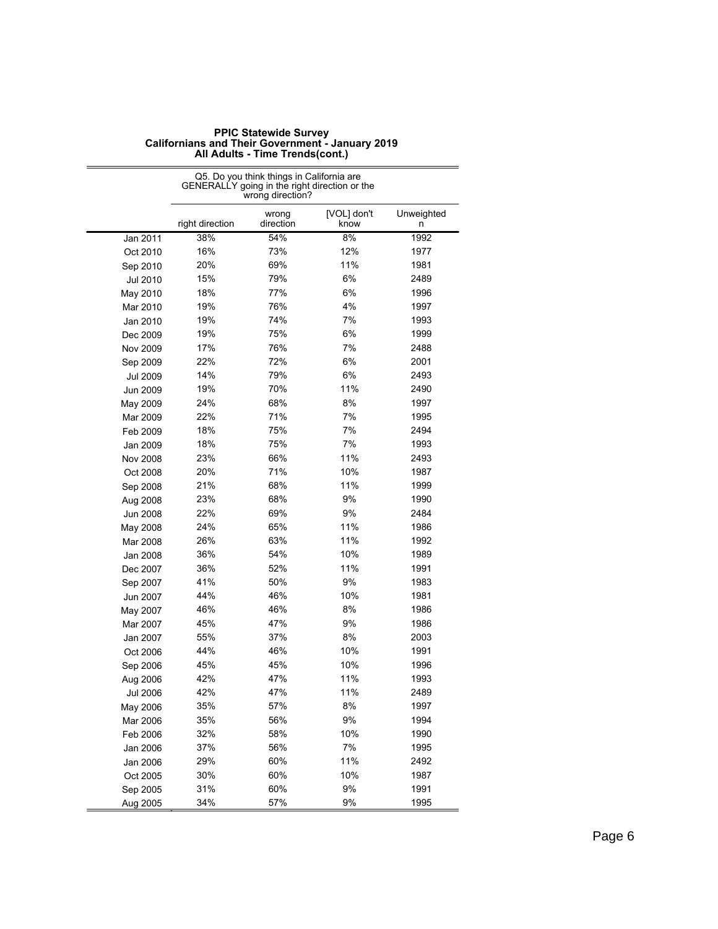|                 | Q5. Do you think things in California are<br>GENERALLY going in the right direction or the<br>wrong direction? |                    |                     |                 |
|-----------------|----------------------------------------------------------------------------------------------------------------|--------------------|---------------------|-----------------|
|                 | right direction                                                                                                | wrong<br>direction | [VOL] don't<br>know | Unweighted<br>n |
| Jan 2011        | 38%                                                                                                            | 54%                | 8%                  | 1992            |
| Oct 2010        | 16%                                                                                                            | 73%                | 12%                 | 1977            |
| Sep 2010        | 20%                                                                                                            | 69%                | 11%                 | 1981            |
| Jul 2010        | 15%                                                                                                            | 79%                | 6%                  | 2489            |
| May 2010        | 18%                                                                                                            | 77%                | 6%                  | 1996            |
| Mar 2010        | 19%                                                                                                            | 76%                | 4%                  | 1997            |
| Jan 2010        | 19%                                                                                                            | 74%                | 7%                  | 1993            |
| Dec 2009        | 19%                                                                                                            | 75%                | 6%                  | 1999            |
| <b>Nov 2009</b> | 17%                                                                                                            | 76%                | 7%                  | 2488            |
| Sep 2009        | 22%                                                                                                            | 72%                | 6%                  | 2001            |
| <b>Jul 2009</b> | 14%                                                                                                            | 79%                | 6%                  | 2493            |
| Jun 2009        | 19%                                                                                                            | 70%                | 11%                 | 2490            |
| May 2009        | 24%                                                                                                            | 68%                | 8%                  | 1997            |
| Mar 2009        | 22%                                                                                                            | 71%                | 7%                  | 1995            |
| Feb 2009        | 18%                                                                                                            | 75%                | 7%                  | 2494            |
| Jan 2009        | 18%                                                                                                            | 75%                | 7%                  | 1993            |
| Nov 2008        | 23%                                                                                                            | 66%                | 11%                 | 2493            |
| Oct 2008        | 20%                                                                                                            | 71%                | 10%                 | 1987            |
| Sep 2008        | 21%                                                                                                            | 68%                | 11%                 | 1999            |
| Aug 2008        | 23%                                                                                                            | 68%                | 9%                  | 1990            |
| <b>Jun 2008</b> | 22%                                                                                                            | 69%                | 9%                  | 2484            |
| May 2008        | 24%                                                                                                            | 65%                | 11%                 | 1986            |
| Mar 2008        | 26%                                                                                                            | 63%                | 11%                 | 1992            |
| Jan 2008        | 36%                                                                                                            | 54%                | 10%                 | 1989            |
| Dec 2007        | 36%                                                                                                            | 52%                | 11%                 | 1991            |
| Sep 2007        | 41%                                                                                                            | 50%                | 9%                  | 1983            |
| Jun 2007        | 44%                                                                                                            | 46%                | 10%                 | 1981            |
| May 2007        | 46%                                                                                                            | 46%                | 8%                  | 1986            |
| Mar 2007        | 45%                                                                                                            | 47%                | 9%                  | 1986            |
| Jan 2007        | 55%                                                                                                            | 37%                | 8%                  | 2003            |
| Oct 2006        | 44%                                                                                                            | 46%                | 10%                 | 1991            |
| Sep 2006        | 45%                                                                                                            | 45%                | 10%                 | 1996            |
| Aug 2006        | 42%                                                                                                            | 47%                | 11%                 | 1993            |
| <b>Jul 2006</b> | 42%                                                                                                            | 47%                | 11%                 | 2489            |
| May 2006        | 35%                                                                                                            | 57%                | 8%                  | 1997            |
| Mar 2006        | 35%                                                                                                            | 56%                | 9%                  | 1994            |
| Feb 2006        | 32%                                                                                                            | 58%                | 10%                 | 1990            |
| Jan 2006        | 37%                                                                                                            | 56%                | 7%                  | 1995            |
| Jan 2006        | 29%                                                                                                            | 60%                | 11%                 | 2492            |
| Oct 2005        | 30%                                                                                                            | 60%                | 10%                 | 1987            |
| Sep 2005        | 31%                                                                                                            | 60%                | 9%                  | 1991            |
| Aug 2005        | 34%                                                                                                            | 57%                | 9%                  | 1995            |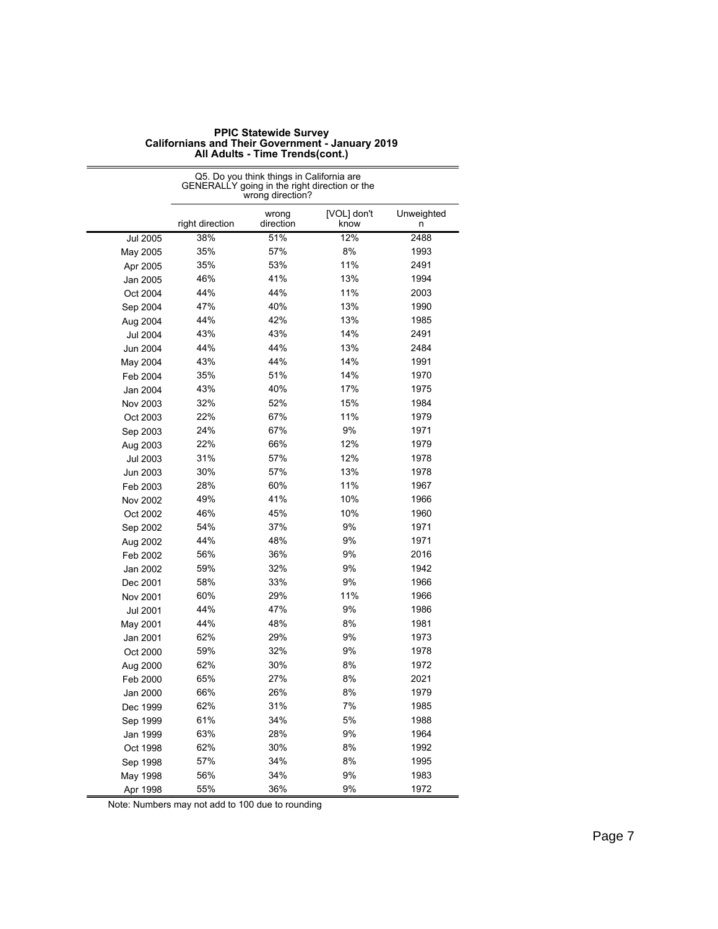|                 | Q5. Do you think things in California are<br>GENERALLY going in the right direction or the<br>wrong direction? |                    |                     |                 |
|-----------------|----------------------------------------------------------------------------------------------------------------|--------------------|---------------------|-----------------|
|                 | right direction                                                                                                | wrong<br>direction | [VOL] don't<br>know | Unweighted<br>n |
| Jul 2005        | 38%                                                                                                            | 51%                | 12%                 | 2488            |
| May 2005        | 35%                                                                                                            | 57%                | 8%                  | 1993            |
| Apr 2005        | 35%                                                                                                            | 53%                | 11%                 | 2491            |
| Jan 2005        | 46%                                                                                                            | 41%                | 13%                 | 1994            |
| Oct 2004        | 44%                                                                                                            | 44%                | 11%                 | 2003            |
| Sep 2004        | 47%                                                                                                            | 40%                | 13%                 | 1990            |
| Aug 2004        | 44%                                                                                                            | 42%                | 13%                 | 1985            |
| <b>Jul 2004</b> | 43%                                                                                                            | 43%                | 14%                 | 2491            |
| Jun 2004        | 44%                                                                                                            | 44%                | 13%                 | 2484            |
| May 2004        | 43%                                                                                                            | 44%                | 14%                 | 1991            |
| Feb 2004        | 35%                                                                                                            | 51%                | 14%                 | 1970            |
| Jan 2004        | 43%                                                                                                            | 40%                | 17%                 | 1975            |
| Nov 2003        | 32%                                                                                                            | 52%                | 15%                 | 1984            |
| Oct 2003        | 22%                                                                                                            | 67%                | 11%                 | 1979            |
| Sep 2003        | 24%                                                                                                            | 67%                | 9%                  | 1971            |
| Aug 2003        | 22%                                                                                                            | 66%                | 12%                 | 1979            |
| <b>Jul 2003</b> | 31%                                                                                                            | 57%                | 12%                 | 1978            |
| Jun 2003        | 30%                                                                                                            | 57%                | 13%                 | 1978            |
| Feb 2003        | 28%                                                                                                            | 60%                | 11%                 | 1967            |
| <b>Nov 2002</b> | 49%                                                                                                            | 41%                | 10%                 | 1966            |
| Oct 2002        | 46%                                                                                                            | 45%                | 10%                 | 1960            |
| Sep 2002        | 54%                                                                                                            | 37%                | 9%                  | 1971            |
| Aug 2002        | 44%                                                                                                            | 48%                | 9%                  | 1971            |
| Feb 2002        | 56%                                                                                                            | 36%                | 9%                  | 2016            |
| Jan 2002        | 59%                                                                                                            | 32%                | 9%                  | 1942            |
| Dec 2001        | 58%                                                                                                            | 33%                | 9%                  | 1966            |
| Nov 2001        | 60%                                                                                                            | 29%                | 11%                 | 1966            |
| <b>Jul 2001</b> | 44%                                                                                                            | 47%                | 9%                  | 1986            |
| May 2001        | 44%                                                                                                            | 48%                | 8%                  | 1981            |
| Jan 2001        | 62%                                                                                                            | 29%                | 9%                  | 1973            |
| Oct 2000        | 59%                                                                                                            | 32%                | 9%                  | 1978            |
| Aug 2000        | 62%                                                                                                            | 30%                | 8%                  | 1972            |
| Feb 2000        | 65%                                                                                                            | 27%                | 8%                  | 2021            |
| Jan 2000        | 66%                                                                                                            | 26%                | 8%                  | 1979            |
| Dec 1999        | 62%                                                                                                            | 31%                | 7%                  | 1985            |
| Sep 1999        | 61%                                                                                                            | 34%                | 5%                  | 1988            |
| Jan 1999        | 63%                                                                                                            | 28%                | 9%                  | 1964            |
| Oct 1998        | 62%                                                                                                            | 30%                | 8%                  | 1992            |
| Sep 1998        | 57%                                                                                                            | 34%                | 8%                  | 1995            |
| May 1998        | 56%                                                                                                            | 34%                | 9%                  | 1983            |
| Apr 1998        | 55%                                                                                                            | 36%                | 9%                  | 1972            |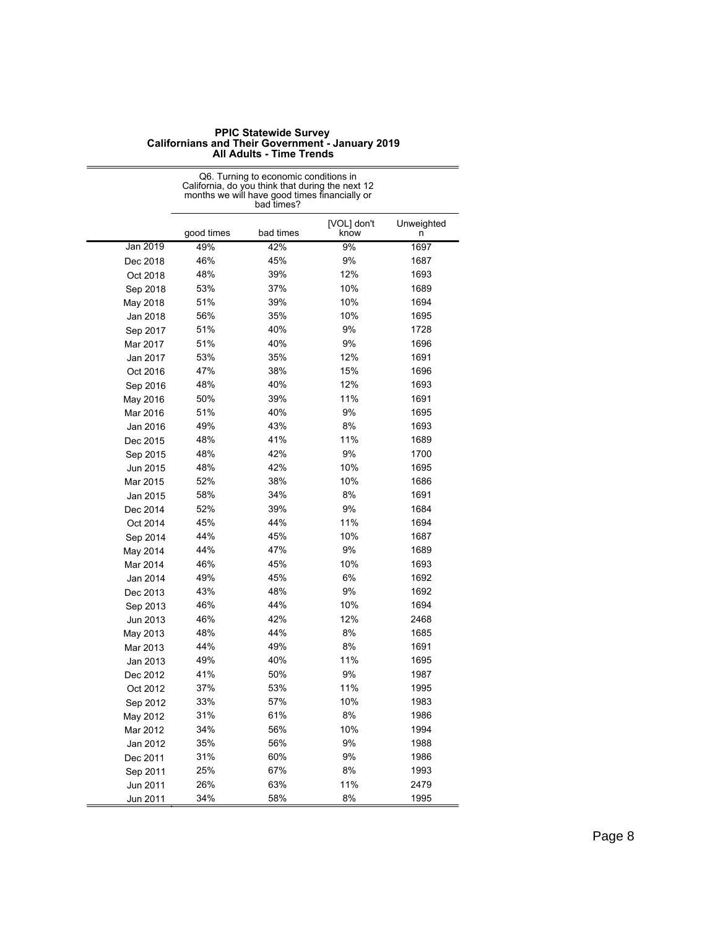| <b>PPIC Statewide Survey</b>                            |
|---------------------------------------------------------|
| <b>Californians and Their Government - January 2019</b> |
| All Adulte - Time Trande                                |

|          | Q6. Turning to economic conditions in<br>California, do you think that during the next 12<br>months we will have good times financially or<br>bad times? |           |                     |                 |
|----------|----------------------------------------------------------------------------------------------------------------------------------------------------------|-----------|---------------------|-----------------|
|          | good times                                                                                                                                               | bad times | [VOL] don't<br>know | Unweighted<br>n |
| Jan 2019 | 49%                                                                                                                                                      | 42%       | 9%                  | 1697            |
| Dec 2018 | 46%                                                                                                                                                      | 45%       | 9%                  | 1687            |
| Oct 2018 | 48%                                                                                                                                                      | 39%       | 12%                 | 1693            |
| Sep 2018 | 53%                                                                                                                                                      | 37%       | 10%                 | 1689            |
| May 2018 | 51%                                                                                                                                                      | 39%       | 10%                 | 1694            |
| Jan 2018 | 56%                                                                                                                                                      | 35%       | 10%                 | 1695            |
| Sep 2017 | 51%                                                                                                                                                      | 40%       | 9%                  | 1728            |
| Mar 2017 | 51%                                                                                                                                                      | 40%       | 9%                  | 1696            |
| Jan 2017 | 53%                                                                                                                                                      | 35%       | 12%                 | 1691            |
| Oct 2016 | 47%                                                                                                                                                      | 38%       | 15%                 | 1696            |
| Sep 2016 | 48%                                                                                                                                                      | 40%       | 12%                 | 1693            |
| May 2016 | 50%                                                                                                                                                      | 39%       | 11%                 | 1691            |
| Mar 2016 | 51%                                                                                                                                                      | 40%       | 9%                  | 1695            |
| Jan 2016 | 49%                                                                                                                                                      | 43%       | 8%                  | 1693            |
| Dec 2015 | 48%                                                                                                                                                      | 41%       | 11%                 | 1689            |
| Sep 2015 | 48%                                                                                                                                                      | 42%       | 9%                  | 1700            |
| Jun 2015 | 48%                                                                                                                                                      | 42%       | 10%                 | 1695            |
| Mar 2015 | 52%                                                                                                                                                      | 38%       | 10%                 | 1686            |
| Jan 2015 | 58%                                                                                                                                                      | 34%       | 8%                  | 1691            |
| Dec 2014 | 52%                                                                                                                                                      | 39%       | 9%                  | 1684            |
| Oct 2014 | 45%                                                                                                                                                      | 44%       | 11%                 | 1694            |
| Sep 2014 | 44%                                                                                                                                                      | 45%       | 10%                 | 1687            |
| May 2014 | 44%                                                                                                                                                      | 47%       | 9%                  | 1689            |
| Mar 2014 | 46%                                                                                                                                                      | 45%       | 10%                 | 1693            |
| Jan 2014 | 49%                                                                                                                                                      | 45%       | 6%                  | 1692            |
| Dec 2013 | 43%                                                                                                                                                      | 48%       | 9%                  | 1692            |
| Sep 2013 | 46%                                                                                                                                                      | 44%       | 10%                 | 1694            |
| Jun 2013 | 46%                                                                                                                                                      | 42%       | 12%                 | 2468            |
| May 2013 | 48%                                                                                                                                                      | 44%       | 8%                  | 1685            |
| Mar 2013 | 44%                                                                                                                                                      | 49%       | 8%                  | 1691            |
| Jan 2013 | 49%                                                                                                                                                      | 40%       | 11%                 | 1695            |
| Dec 2012 | 41%                                                                                                                                                      | 50%       | 9%                  | 1987            |
| Oct 2012 | 37%                                                                                                                                                      | 53%       | 11%                 | 1995            |
| Sep 2012 | 33%                                                                                                                                                      | 57%       | 10%                 | 1983            |
| May 2012 | 31%                                                                                                                                                      | 61%       | 8%                  | 1986            |
| Mar 2012 | 34%                                                                                                                                                      | 56%       | 10%                 | 1994            |
| Jan 2012 | 35%                                                                                                                                                      | 56%       | 9%                  | 1988            |
| Dec 2011 | 31%                                                                                                                                                      | 60%       | 9%                  | 1986            |
| Sep 2011 | 25%                                                                                                                                                      | 67%       | 8%                  | 1993            |
| Jun 2011 | 26%                                                                                                                                                      | 63%       | 11%                 | 2479            |
| Jun 2011 | 34%                                                                                                                                                      | 58%       | $8%$                | 1995            |

### **All Adults - Time Trends**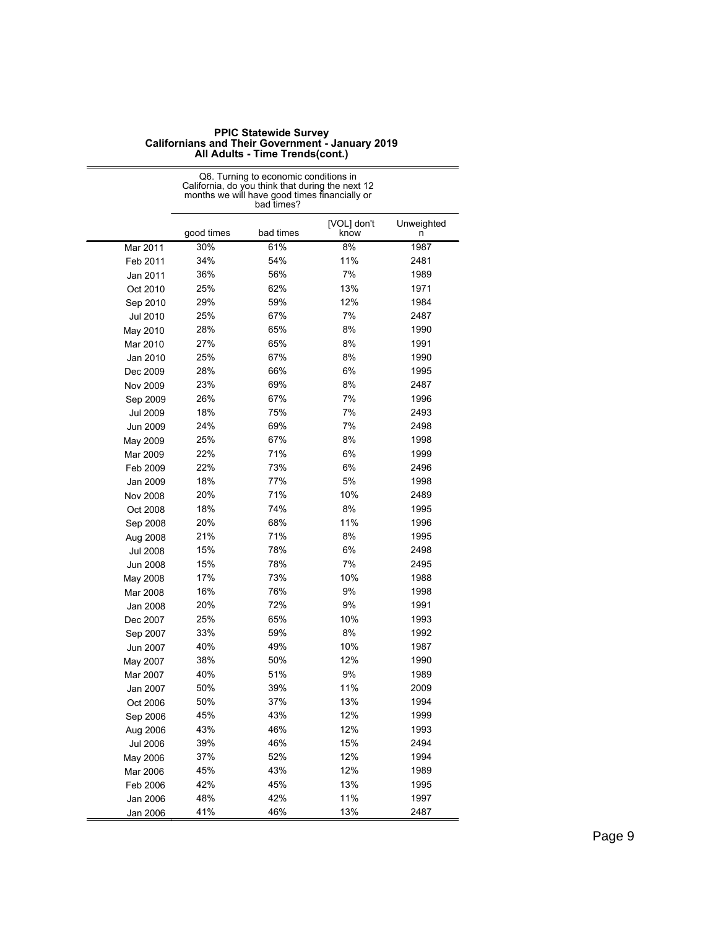| <b>PPIC Statewide Survey</b>                            |
|---------------------------------------------------------|
| <b>Californians and Their Government - January 2019</b> |
| All Adulte - Time Trende(cont)                          |

|                 | Q6. Turning to economic conditions in<br>California, do you think that during the next 12<br>months we will have good times financially or<br>bad times? |           |                     |                 |
|-----------------|----------------------------------------------------------------------------------------------------------------------------------------------------------|-----------|---------------------|-----------------|
|                 | good times                                                                                                                                               | bad times | [VOL] don't<br>know | Unweighted<br>n |
| Mar 2011        | 30%                                                                                                                                                      | 61%       | 8%                  | 1987            |
| Feb 2011        | 34%                                                                                                                                                      | 54%       | 11%                 | 2481            |
| Jan 2011        | 36%                                                                                                                                                      | 56%       | 7%                  | 1989            |
| Oct 2010        | 25%                                                                                                                                                      | 62%       | 13%                 | 1971            |
| Sep 2010        | 29%                                                                                                                                                      | 59%       | 12%                 | 1984            |
| Jul 2010        | 25%                                                                                                                                                      | 67%       | 7%                  | 2487            |
| May 2010        | 28%                                                                                                                                                      | 65%       | 8%                  | 1990            |
| Mar 2010        | 27%                                                                                                                                                      | 65%       | 8%                  | 1991            |
| Jan 2010        | 25%                                                                                                                                                      | 67%       | 8%                  | 1990            |
| Dec 2009        | 28%                                                                                                                                                      | 66%       | 6%                  | 1995            |
| Nov 2009        | 23%                                                                                                                                                      | 69%       | 8%                  | 2487            |
| Sep 2009        | 26%                                                                                                                                                      | 67%       | 7%                  | 1996            |
| Jul 2009        | 18%                                                                                                                                                      | 75%       | 7%                  | 2493            |
| Jun 2009        | 24%                                                                                                                                                      | 69%       | 7%                  | 2498            |
| May 2009        | 25%                                                                                                                                                      | 67%       | 8%                  | 1998            |
| Mar 2009        | 22%                                                                                                                                                      | 71%       | 6%                  | 1999            |
| Feb 2009        | 22%                                                                                                                                                      | 73%       | 6%                  | 2496            |
| Jan 2009        | 18%                                                                                                                                                      | 77%       | 5%                  | 1998            |
| Nov 2008        | 20%                                                                                                                                                      | 71%       | 10%                 | 2489            |
| Oct 2008        | 18%                                                                                                                                                      | 74%       | 8%                  | 1995            |
| Sep 2008        | 20%                                                                                                                                                      | 68%       | 11%                 | 1996            |
| Aug 2008        | 21%                                                                                                                                                      | 71%       | 8%                  | 1995            |
| <b>Jul 2008</b> | 15%                                                                                                                                                      | 78%       | 6%                  | 2498            |
| Jun 2008        | 15%                                                                                                                                                      | 78%       | 7%                  | 2495            |
| May 2008        | 17%                                                                                                                                                      | 73%       | 10%                 | 1988            |
| Mar 2008        | 16%                                                                                                                                                      | 76%       | 9%                  | 1998            |
| Jan 2008        | 20%                                                                                                                                                      | 72%       | 9%                  | 1991            |
| Dec 2007        | 25%                                                                                                                                                      | 65%       | 10%                 | 1993            |
| Sep 2007        | 33%                                                                                                                                                      | 59%       | 8%                  | 1992            |
| Jun 2007        | 40%                                                                                                                                                      | 49%       | 10%                 | 1987            |
| May 2007        | 38%                                                                                                                                                      | 50%       | 12%                 | 1990            |
| Mar 2007        | 40%                                                                                                                                                      | 51%       | 9%                  | 1989            |
| Jan 2007        | 50%                                                                                                                                                      | 39%       | 11%                 | 2009            |
| Oct 2006        | 50%                                                                                                                                                      | 37%       | 13%                 | 1994            |
| Sep 2006        | 45%                                                                                                                                                      | 43%       | 12%                 | 1999            |
| Aug 2006        | 43%                                                                                                                                                      | 46%       | 12%                 | 1993            |
| <b>Jul 2006</b> | 39%                                                                                                                                                      | 46%       | 15%                 | 2494            |
| May 2006        | 37%                                                                                                                                                      | 52%       | 12%                 | 1994            |
| Mar 2006        | 45%                                                                                                                                                      | 43%       | 12%                 | 1989            |
| Feb 2006        | 42%                                                                                                                                                      | 45%       | 13%                 | 1995            |
| Jan 2006        | 48%                                                                                                                                                      | 42%       | 11%                 | 1997            |
| Jan 2006        | 41%                                                                                                                                                      | 46%       | 13%                 | 2487            |

# **All Adults - Time Trends(cont.)**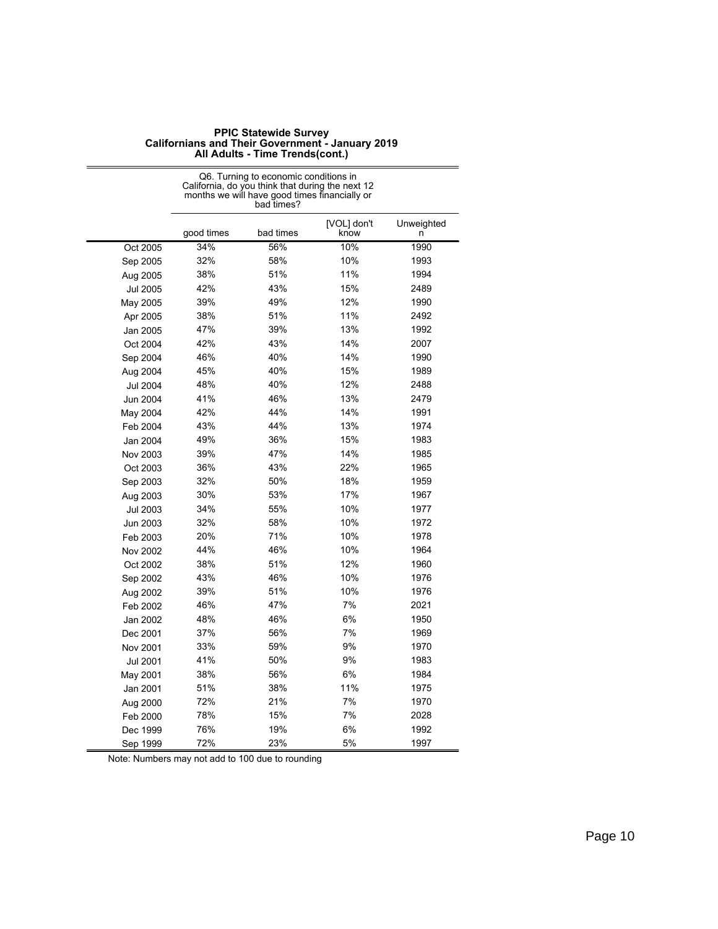| <b>PPIC Statewide Survey</b>                            |
|---------------------------------------------------------|
| <b>Californians and Their Government - January 2019</b> |
| All Adults - Time Trends(cont.)                         |

|                 | Q6. Turning to economic conditions in<br>California, do you think that during the next 12<br>months we will have good times financially or<br>bad times? |           |                     |                 |  |  |
|-----------------|----------------------------------------------------------------------------------------------------------------------------------------------------------|-----------|---------------------|-----------------|--|--|
|                 | good times                                                                                                                                               | bad times | [VOL] don't<br>know | Unweighted<br>n |  |  |
| Oct 2005        | 34%                                                                                                                                                      | 56%       | 10%                 | 1990            |  |  |
| Sep 2005        | 32%                                                                                                                                                      | 58%       | 10%                 | 1993            |  |  |
| Aug 2005        | 38%                                                                                                                                                      | 51%       | 11%                 | 1994            |  |  |
| <b>Jul 2005</b> | 42%                                                                                                                                                      | 43%       | 15%                 | 2489            |  |  |
| May 2005        | 39%                                                                                                                                                      | 49%       | 12%                 | 1990            |  |  |
| Apr 2005        | 38%                                                                                                                                                      | 51%       | 11%                 | 2492            |  |  |
| Jan 2005        | 47%                                                                                                                                                      | 39%       | 13%                 | 1992            |  |  |
| Oct 2004        | 42%                                                                                                                                                      | 43%       | 14%                 | 2007            |  |  |
| Sep 2004        | 46%                                                                                                                                                      | 40%       | 14%                 | 1990            |  |  |
| Aug 2004        | 45%                                                                                                                                                      | 40%       | 15%                 | 1989            |  |  |
| <b>Jul 2004</b> | 48%                                                                                                                                                      | 40%       | 12%                 | 2488            |  |  |
| Jun 2004        | 41%                                                                                                                                                      | 46%       | 13%                 | 2479            |  |  |
| May 2004        | 42%                                                                                                                                                      | 44%       | 14%                 | 1991            |  |  |
| Feb 2004        | 43%                                                                                                                                                      | 44%       | 13%                 | 1974            |  |  |
| Jan 2004        | 49%                                                                                                                                                      | 36%       | 15%                 | 1983            |  |  |
| Nov 2003        | 39%                                                                                                                                                      | 47%       | 14%                 | 1985            |  |  |
| Oct 2003        | 36%                                                                                                                                                      | 43%       | 22%                 | 1965            |  |  |
| Sep 2003        | 32%                                                                                                                                                      | 50%       | 18%                 | 1959            |  |  |
| Aug 2003        | 30%                                                                                                                                                      | 53%       | 17%                 | 1967            |  |  |
| <b>Jul 2003</b> | 34%                                                                                                                                                      | 55%       | 10%                 | 1977            |  |  |
| Jun 2003        | 32%                                                                                                                                                      | 58%       | 10%                 | 1972            |  |  |
| Feb 2003        | 20%                                                                                                                                                      | 71%       | 10%                 | 1978            |  |  |
| Nov 2002        | 44%                                                                                                                                                      | 46%       | 10%                 | 1964            |  |  |
| Oct 2002        | 38%                                                                                                                                                      | 51%       | 12%                 | 1960            |  |  |
| Sep 2002        | 43%                                                                                                                                                      | 46%       | 10%                 | 1976            |  |  |
| Aug 2002        | 39%                                                                                                                                                      | 51%       | 10%                 | 1976            |  |  |
| Feb 2002        | 46%                                                                                                                                                      | 47%       | 7%                  | 2021            |  |  |
| Jan 2002        | 48%                                                                                                                                                      | 46%       | 6%                  | 1950            |  |  |
| Dec 2001        | 37%                                                                                                                                                      | 56%       | 7%                  | 1969            |  |  |
| Nov 2001        | 33%                                                                                                                                                      | 59%       | 9%                  | 1970            |  |  |
| Jul 2001        | 41%                                                                                                                                                      | 50%       | 9%                  | 1983            |  |  |
| May 2001        | 38%                                                                                                                                                      | 56%       | 6%                  | 1984            |  |  |
| Jan 2001        | 51%                                                                                                                                                      | 38%       | 11%                 | 1975            |  |  |
| Aug 2000        | 72%                                                                                                                                                      | 21%       | 7%                  | 1970            |  |  |
| Feb 2000        | 78%                                                                                                                                                      | 15%       | 7%                  | 2028            |  |  |
| Dec 1999        | 76%                                                                                                                                                      | 19%       | 6%                  | 1992            |  |  |
| Sep 1999        | 72%                                                                                                                                                      | 23%       | 5%                  | 1997            |  |  |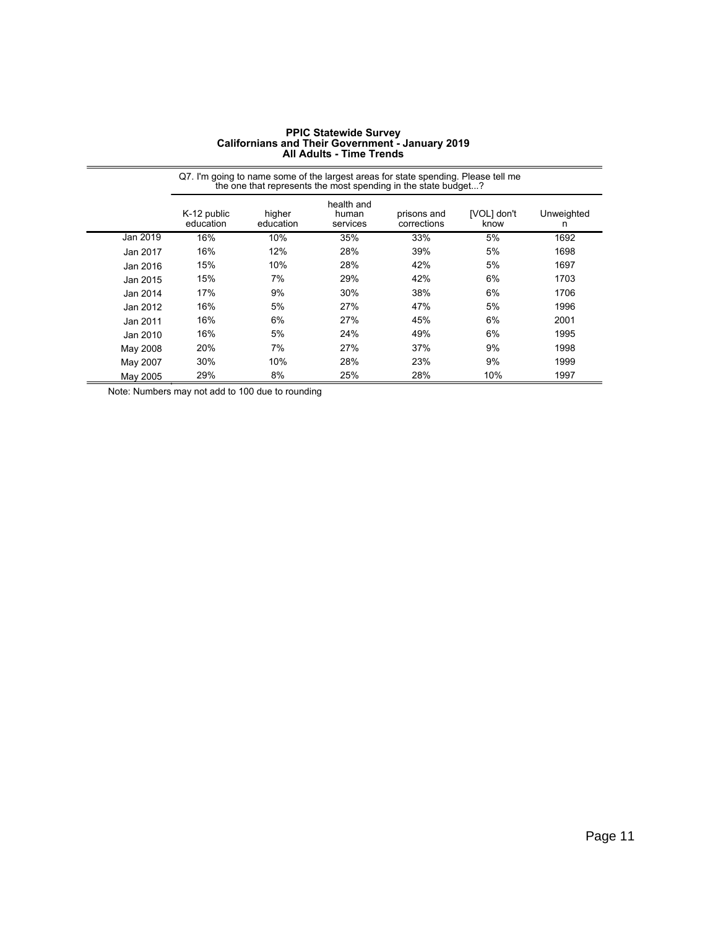| <b>PPIC Statewide Survey</b><br><b>Californians and Their Government - January 2019</b> |
|-----------------------------------------------------------------------------------------|
| <b>All Adults - Time Trends</b>                                                         |

|          | Q7. I'm going to name some of the largest areas for state spending. Please tell me<br>the one that represents the most spending in the state budget? |                     |                                 |                            |                     |                 |
|----------|------------------------------------------------------------------------------------------------------------------------------------------------------|---------------------|---------------------------------|----------------------------|---------------------|-----------------|
|          | K-12 public<br>education                                                                                                                             | higher<br>education | health and<br>human<br>services | prisons and<br>corrections | [VOL] don't<br>know | Unweighted<br>n |
| Jan 2019 | 16%                                                                                                                                                  | 10%                 | 35%                             | 33%                        | 5%                  | 1692            |
| Jan 2017 | 16%                                                                                                                                                  | 12%                 | 28%                             | 39%                        | 5%                  | 1698            |
| Jan 2016 | 15%                                                                                                                                                  | 10%                 | 28%                             | 42%                        | 5%                  | 1697            |
| Jan 2015 | 15%                                                                                                                                                  | 7%                  | 29%                             | 42%                        | 6%                  | 1703            |
| Jan 2014 | 17%                                                                                                                                                  | 9%                  | 30%                             | 38%                        | 6%                  | 1706            |
| Jan 2012 | 16%                                                                                                                                                  | 5%                  | 27%                             | 47%                        | 5%                  | 1996            |
| Jan 2011 | 16%                                                                                                                                                  | 6%                  | 27%                             | 45%                        | 6%                  | 2001            |
| Jan 2010 | 16%                                                                                                                                                  | 5%                  | 24%                             | 49%                        | 6%                  | 1995            |
| May 2008 | 20%                                                                                                                                                  | 7%                  | 27%                             | 37%                        | 9%                  | 1998            |
| May 2007 | 30%                                                                                                                                                  | 10%                 | 28%                             | 23%                        | 9%                  | 1999            |
| May 2005 | 29%                                                                                                                                                  | 8%                  | 25%                             | 28%                        | 10%                 | 1997            |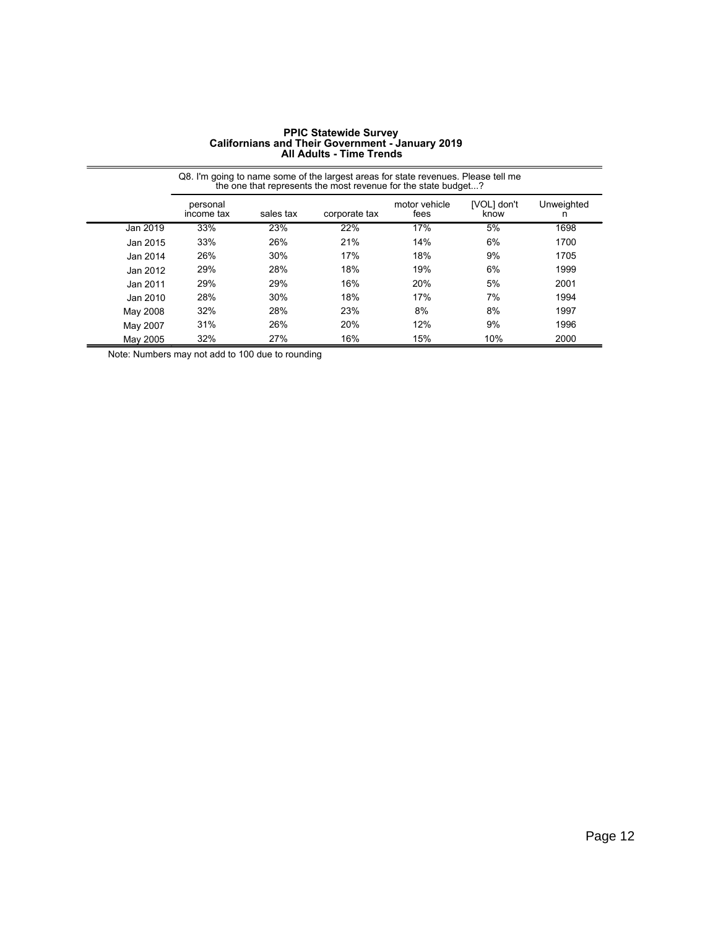| <b>PPIC Statewide Survey</b>                            |
|---------------------------------------------------------|
| <b>Californians and Their Government - January 2019</b> |
| <b>All Adults - Time Trends</b>                         |

|          | Q8. I'm going to name some of the largest areas for state revenues. Please tell me<br>the one that represents the most revenue for the state budget? |           |               |                       |                     |                 |
|----------|------------------------------------------------------------------------------------------------------------------------------------------------------|-----------|---------------|-----------------------|---------------------|-----------------|
|          | personal<br>income tax                                                                                                                               | sales tax | corporate tax | motor vehicle<br>fees | [VOL] don't<br>know | Unweighted<br>n |
| Jan 2019 | 33%                                                                                                                                                  | 23%       | 22%           | 17%                   | 5%                  | 1698            |
| Jan 2015 | 33%                                                                                                                                                  | 26%       | 21%           | 14%                   | 6%                  | 1700            |
| Jan 2014 | 26%                                                                                                                                                  | 30%       | 17%           | 18%                   | 9%                  | 1705            |
| Jan 2012 | 29%                                                                                                                                                  | 28%       | 18%           | 19%                   | 6%                  | 1999            |
| Jan 2011 | 29%                                                                                                                                                  | 29%       | 16%           | 20%                   | 5%                  | 2001            |
| Jan 2010 | 28%                                                                                                                                                  | 30%       | 18%           | 17%                   | 7%                  | 1994            |
| May 2008 | 32%                                                                                                                                                  | 28%       | 23%           | 8%                    | 8%                  | 1997            |
| May 2007 | 31%                                                                                                                                                  | 26%       | 20%           | 12%                   | 9%                  | 1996            |
| May 2005 | 32%                                                                                                                                                  | 27%       | 16%           | 15%                   | 10%                 | 2000            |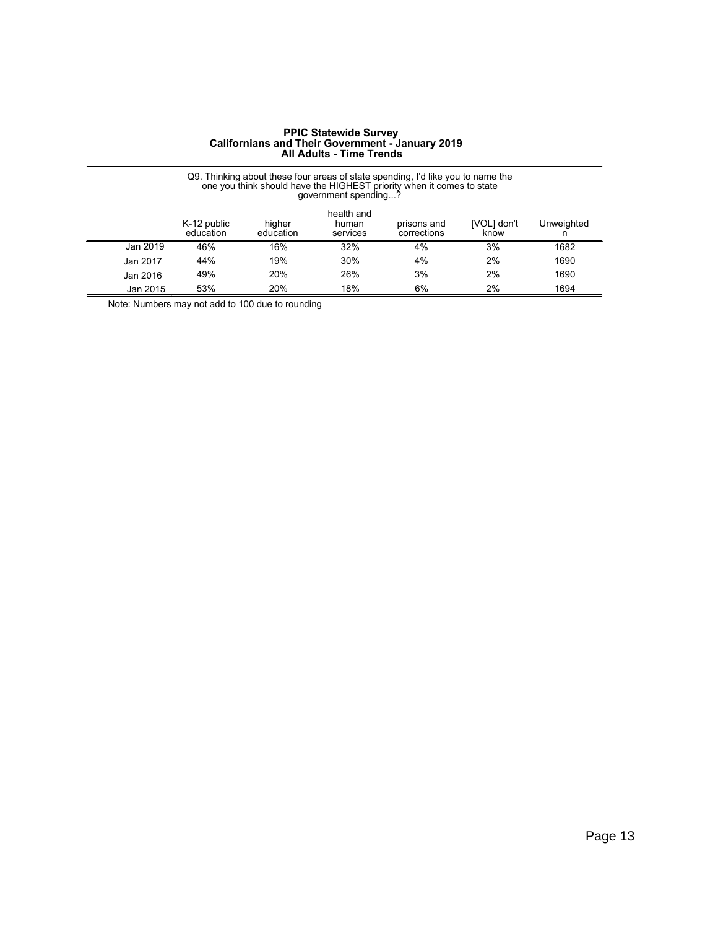|          | Q9. Thinking about these four areas of state spending, I'd like you to name the<br>one you think should have the HIGHEST priority when it comes to state<br>qovernment spending? |                     |                                 |                            |                     |                 |  |
|----------|----------------------------------------------------------------------------------------------------------------------------------------------------------------------------------|---------------------|---------------------------------|----------------------------|---------------------|-----------------|--|
|          | K-12 public<br>education                                                                                                                                                         | higher<br>education | health and<br>human<br>services | prisons and<br>corrections | [VOL] don't<br>know | Unweighted<br>n |  |
| Jan 2019 | 46%                                                                                                                                                                              | 16%                 | 32%                             | 4%                         | 3%                  | 1682            |  |
| Jan 2017 | 44%                                                                                                                                                                              | 19%                 | 30%                             | 4%                         | 2%                  | 1690            |  |
| Jan 2016 | 49%                                                                                                                                                                              | <b>20%</b>          | 26%                             | 3%                         | 2%                  | 1690            |  |
| Jan 2015 | 53%                                                                                                                                                                              | 20%                 | 18%                             | 6%                         | 2%                  | 1694            |  |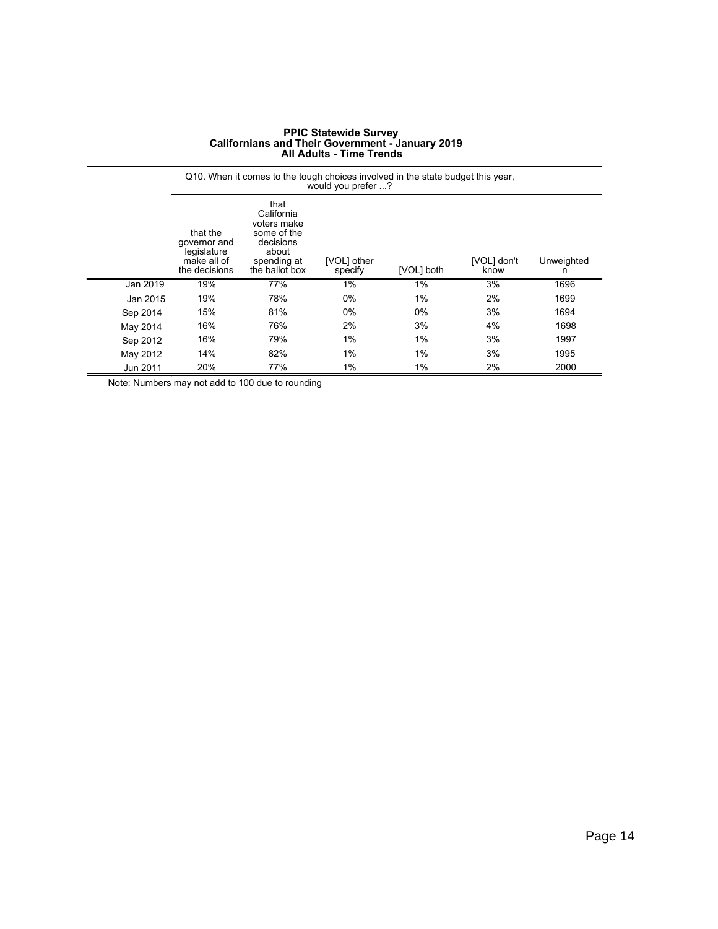|          | Q10. When it comes to the tough choices involved in the state budget this year,<br>would you prefer ? |                                                                                                         |                        |            |                     |                 |
|----------|-------------------------------------------------------------------------------------------------------|---------------------------------------------------------------------------------------------------------|------------------------|------------|---------------------|-----------------|
|          | that the<br>governor and<br>legislature<br>make all of<br>the decisions                               | that<br>California<br>voters make<br>some of the<br>decisions<br>about<br>spending at<br>the ballot box | [VOL] other<br>specify | [VOL] both | [VOL] don't<br>know | Unweighted<br>n |
| Jan 2019 | 19%                                                                                                   | 77%                                                                                                     | $1\%$                  | 1%         | 3%                  | 1696            |
| Jan 2015 | 19%                                                                                                   | 78%                                                                                                     | $0\%$                  | 1%         | 2%                  | 1699            |
| Sep 2014 | 15%                                                                                                   | 81%                                                                                                     | $0\%$                  | $0\%$      | 3%                  | 1694            |
| May 2014 | 16%                                                                                                   | 76%                                                                                                     | 2%                     | 3%         | 4%                  | 1698            |
| Sep 2012 | 16%                                                                                                   | 79%                                                                                                     | 1%                     | 1%         | 3%                  | 1997            |
| May 2012 | 14%                                                                                                   | 82%                                                                                                     | 1%                     | 1%         | 3%                  | 1995            |
| Jun 2011 | 20%                                                                                                   | 77%                                                                                                     | $1\%$                  | 1%         | 2%                  | 2000            |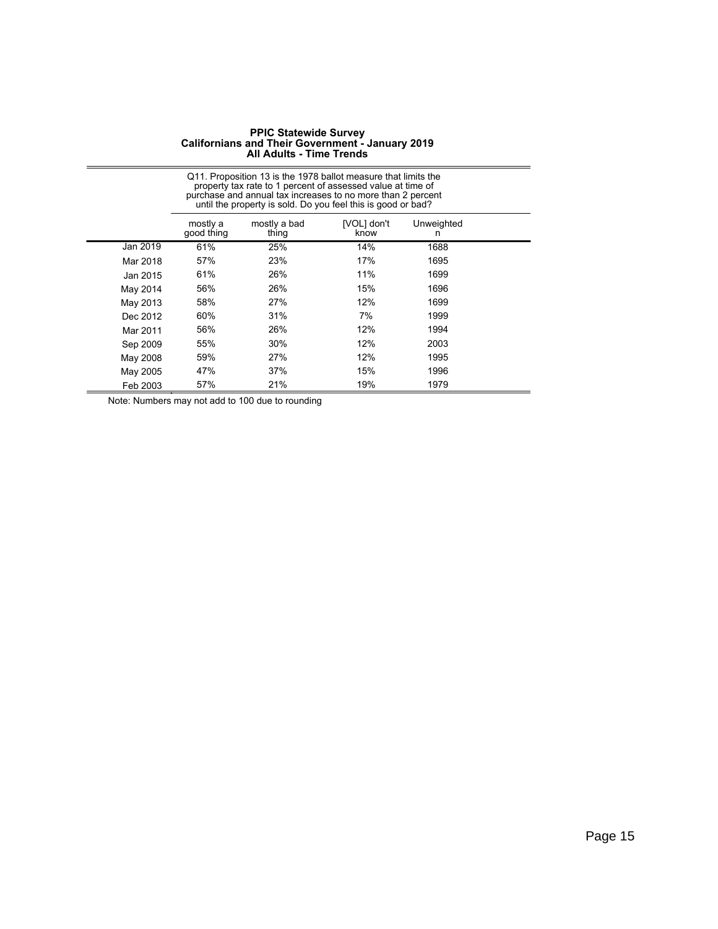|          | Q11. Proposition 13 is the 1978 ballot measure that limits the<br>property tax rate to 1 percent of assessed value at time of<br>purchase and annual tax increases to no more than 2 percent<br>until the property is sold. Do you feel this is good or bad? |                       |                     |                 |  |  |
|----------|--------------------------------------------------------------------------------------------------------------------------------------------------------------------------------------------------------------------------------------------------------------|-----------------------|---------------------|-----------------|--|--|
|          | mostly a<br>good thing                                                                                                                                                                                                                                       | mostly a bad<br>thing | [VOL] don't<br>know | Unweighted<br>n |  |  |
| Jan 2019 | 61%                                                                                                                                                                                                                                                          | 25%                   | 14%                 | 1688            |  |  |
| Mar 2018 | 57%                                                                                                                                                                                                                                                          | 23%                   | 17%                 | 1695            |  |  |
| Jan 2015 | 61%                                                                                                                                                                                                                                                          | 26%                   | 11%                 | 1699            |  |  |
| May 2014 | 56%                                                                                                                                                                                                                                                          | 26%                   | 15%                 | 1696            |  |  |
| May 2013 | 58%                                                                                                                                                                                                                                                          | 27%                   | 12%                 | 1699            |  |  |
| Dec 2012 | 60%                                                                                                                                                                                                                                                          | 31%                   | 7%                  | 1999            |  |  |
| Mar 2011 | 56%                                                                                                                                                                                                                                                          | 26%                   | 12%                 | 1994            |  |  |
| Sep 2009 | 55%                                                                                                                                                                                                                                                          | 30%                   | 12%                 | 2003            |  |  |
| May 2008 | 59%                                                                                                                                                                                                                                                          | 27%                   | 12%                 | 1995            |  |  |
| May 2005 | 47%                                                                                                                                                                                                                                                          | 37%                   | 15%                 | 1996            |  |  |
| Feb 2003 | 57%                                                                                                                                                                                                                                                          | 21%                   | 19%                 | 1979            |  |  |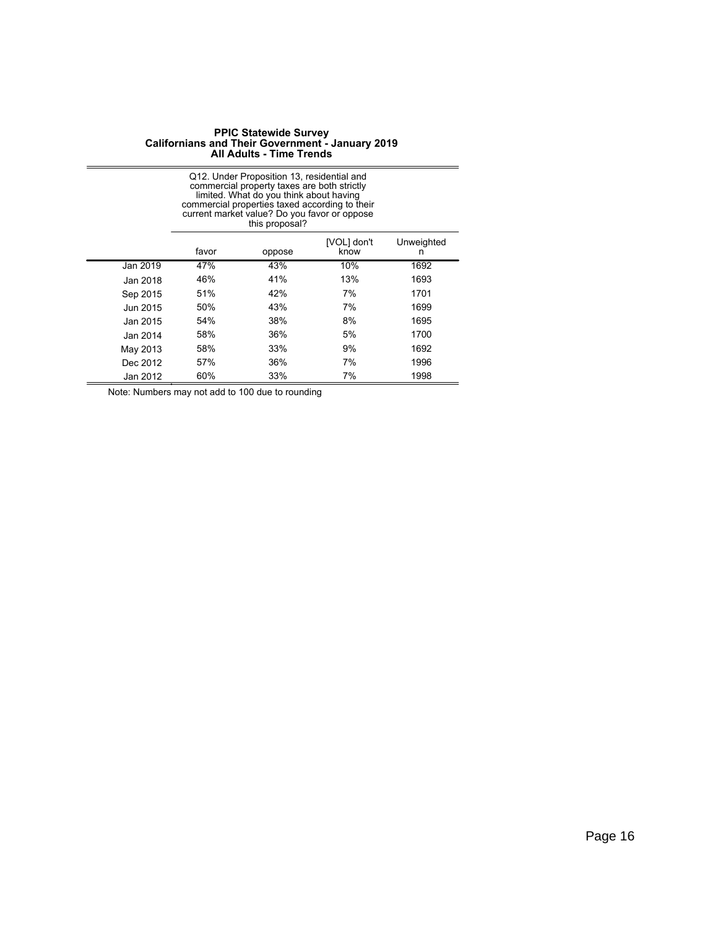|           | Q12. Under Proposition 13, residential and<br>commercial property taxes are both strictly<br>limited. What do you think about having<br>commercial properties taxed according to their<br>current market value? Do you favor or oppose<br>this proposal? |     |     |      |  |  |  |
|-----------|----------------------------------------------------------------------------------------------------------------------------------------------------------------------------------------------------------------------------------------------------------|-----|-----|------|--|--|--|
|           | [VOL] don't<br>Unweighted<br>favor<br>know<br>oppose<br>n                                                                                                                                                                                                |     |     |      |  |  |  |
| Jan 2019  | 47%                                                                                                                                                                                                                                                      | 43% | 10% | 1692 |  |  |  |
| Jan 2018  | 46%                                                                                                                                                                                                                                                      | 41% | 13% | 1693 |  |  |  |
| Sep 2015  | 51%                                                                                                                                                                                                                                                      | 42% | 7%  | 1701 |  |  |  |
| Jun 2015  | 50%                                                                                                                                                                                                                                                      | 43% | 7%  | 1699 |  |  |  |
| Jan 2015  | 54%                                                                                                                                                                                                                                                      | 38% | 8%  | 1695 |  |  |  |
| Jan 2014. | 58%                                                                                                                                                                                                                                                      | 36% | 5%  | 1700 |  |  |  |
| May 2013  | 58%                                                                                                                                                                                                                                                      | 33% | 9%  | 1692 |  |  |  |
| Dec 2012  | 57%                                                                                                                                                                                                                                                      | 36% | 7%  | 1996 |  |  |  |
| Jan 2012  | 60%                                                                                                                                                                                                                                                      | 33% | 7%  | 1998 |  |  |  |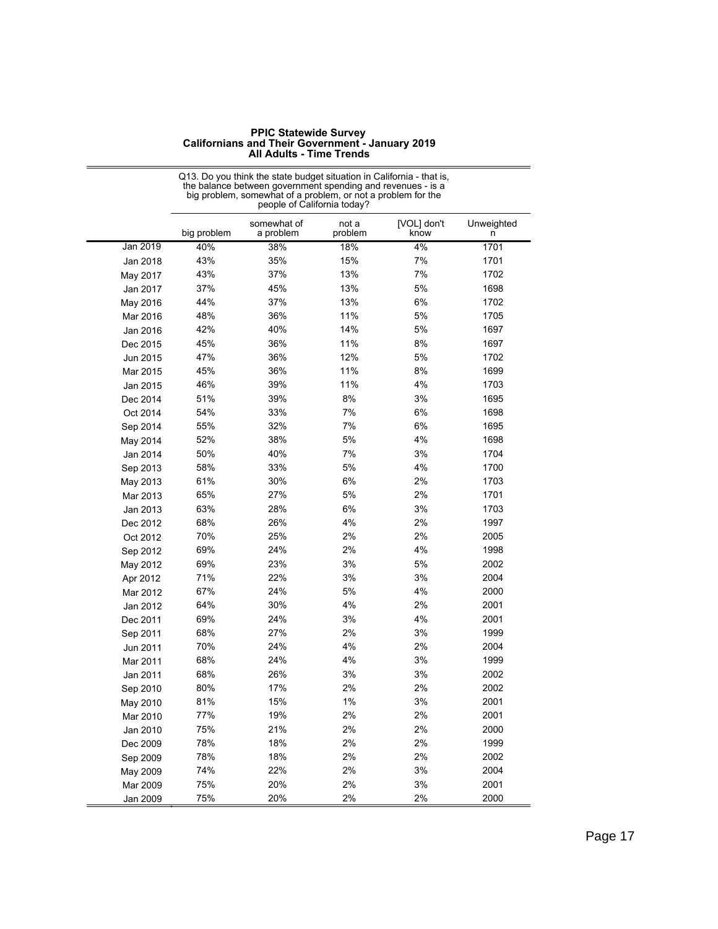|          | the balance between government spending and revenues - is a<br>big problem, somewhat of a problem, or not a problem for the<br>people of California today? |                          |                  |                     |                 |  |
|----------|------------------------------------------------------------------------------------------------------------------------------------------------------------|--------------------------|------------------|---------------------|-----------------|--|
|          | big problem                                                                                                                                                | somewhat of<br>a problem | not a<br>problem | [VOL] don't<br>know | Unweighted<br>n |  |
| Jan 2019 | 40%                                                                                                                                                        | 38%                      | 18%              | 4%                  | 1701            |  |
| Jan 2018 | 43%                                                                                                                                                        | 35%                      | 15%              | 7%                  | 1701            |  |
| May 2017 | 43%                                                                                                                                                        | 37%                      | 13%              | 7%                  | 1702            |  |
| Jan 2017 | 37%                                                                                                                                                        | 45%                      | 13%              | 5%                  | 1698            |  |
| May 2016 | 44%                                                                                                                                                        | 37%                      | 13%              | 6%                  | 1702            |  |
| Mar 2016 | 48%                                                                                                                                                        | 36%                      | 11%              | 5%                  | 1705            |  |
| Jan 2016 | 42%                                                                                                                                                        | 40%                      | 14%              | $5\%$               | 1697            |  |
| Dec 2015 | 45%                                                                                                                                                        | 36%                      | 11%              | 8%                  | 1697            |  |
| Jun 2015 | 47%                                                                                                                                                        | 36%                      | 12%              | 5%                  | 1702            |  |
| Mar 2015 | 45%                                                                                                                                                        | 36%                      | 11%              | 8%                  | 1699            |  |
| Jan 2015 | 46%                                                                                                                                                        | 39%                      | 11%              | 4%                  | 1703            |  |
| Dec 2014 | 51%                                                                                                                                                        | 39%                      | 8%               | 3%                  | 1695            |  |
| Oct 2014 | 54%                                                                                                                                                        | 33%                      | 7%               | 6%                  | 1698            |  |
| Sep 2014 | 55%                                                                                                                                                        | 32%                      | 7%               | 6%                  | 1695            |  |
| May 2014 | 52%                                                                                                                                                        | 38%                      | 5%               | 4%                  | 1698            |  |
| Jan 2014 | 50%                                                                                                                                                        | 40%                      | 7%               | 3%                  | 1704            |  |
| Sep 2013 | 58%                                                                                                                                                        | 33%                      | 5%               | 4%                  | 1700            |  |
| May 2013 | 61%                                                                                                                                                        | 30%                      | 6%               | 2%                  | 1703            |  |
| Mar 2013 | 65%                                                                                                                                                        | 27%                      | 5%               | 2%                  | 1701            |  |
| Jan 2013 | 63%                                                                                                                                                        | 28%                      | 6%               | 3%                  | 1703            |  |
| Dec 2012 | 68%                                                                                                                                                        | 26%                      | 4%               | 2%                  | 1997            |  |
| Oct 2012 | 70%                                                                                                                                                        | 25%                      | 2%               | 2%                  | 2005            |  |
| Sep 2012 | 69%                                                                                                                                                        | 24%                      | 2%               | 4%                  | 1998            |  |
| May 2012 | 69%                                                                                                                                                        | 23%                      | 3%               | 5%                  | 2002            |  |
| Apr 2012 | 71%                                                                                                                                                        | 22%                      | 3%               | 3%                  | 2004            |  |
| Mar 2012 | 67%                                                                                                                                                        | 24%                      | 5%               | 4%                  | 2000            |  |
| Jan 2012 | 64%                                                                                                                                                        | 30%                      | 4%               | 2%                  | 2001            |  |
| Dec 2011 | 69%                                                                                                                                                        | 24%                      | 3%               | 4%                  | 2001            |  |
| Sep 2011 | 68%                                                                                                                                                        | 27%                      | 2%               | 3%                  | 1999            |  |
| Jun 2011 | 70%                                                                                                                                                        | 24%                      | 4%               | 2%                  | 2004            |  |
| Mar 2011 | 68%                                                                                                                                                        | 24%                      | 4%               | 3%                  | 1999            |  |
| Jan 2011 | 68%                                                                                                                                                        | 26%                      | 3%               | 3%                  | 2002            |  |
| Sep 2010 | 80%                                                                                                                                                        | 17%                      | 2%               | 2%                  | 2002            |  |
| May 2010 | 81%                                                                                                                                                        | 15%                      | 1%               | 3%                  | 2001            |  |
| Mar 2010 | 77%                                                                                                                                                        | 19%                      | 2%               | 2%                  | 2001            |  |
| Jan 2010 | 75%                                                                                                                                                        | 21%                      | 2%               | 2%                  | 2000            |  |
| Dec 2009 | 78%                                                                                                                                                        | 18%                      | 2%               | 2%                  | 1999            |  |
| Sep 2009 | 78%                                                                                                                                                        | 18%                      | 2%               | 2%                  | 2002            |  |
| May 2009 | 74%                                                                                                                                                        | 22%                      | 2%               | 3%                  | 2004            |  |
| Mar 2009 | 75%                                                                                                                                                        | 20%                      | 2%               | $3%$                | 2001            |  |
| Jan 2009 | 75%                                                                                                                                                        | 20%                      | 2%               | 2%                  | 2000            |  |

Q13. Do you think the state budget situation in California - that is,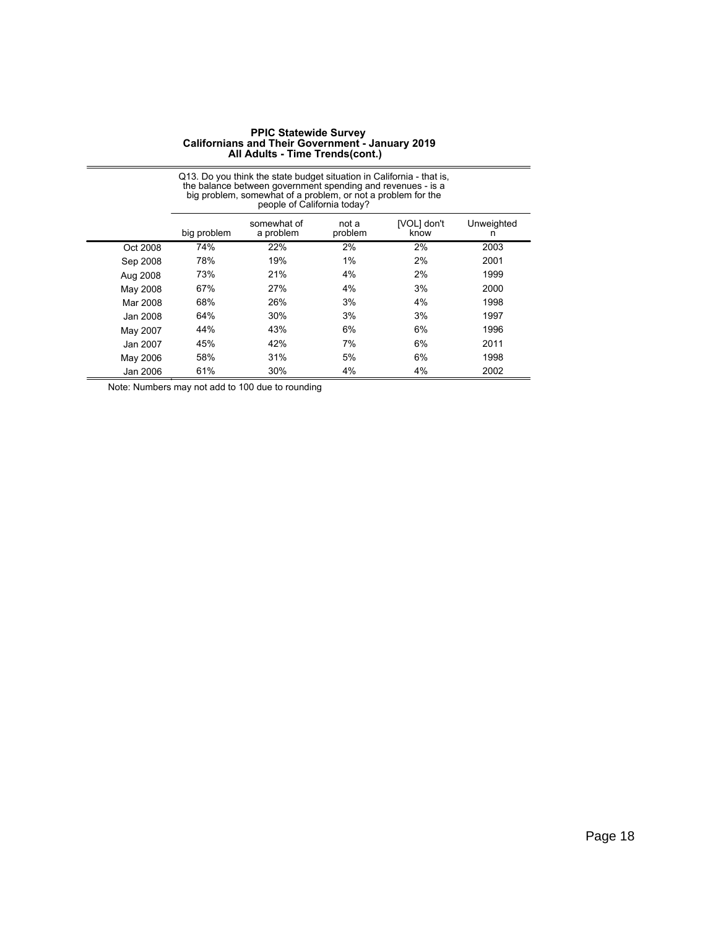|          | Q13. Do you think the state budget situation in California - that is,<br>the balance between government spending and revenues - is a<br>big problem, somewhat of a problem, or not a problem for the<br>people of California today? |                          |                  |                     |                 |  |
|----------|-------------------------------------------------------------------------------------------------------------------------------------------------------------------------------------------------------------------------------------|--------------------------|------------------|---------------------|-----------------|--|
|          | big problem                                                                                                                                                                                                                         | somewhat of<br>a problem | not a<br>problem | [VOL] don't<br>know | Unweighted<br>n |  |
| Oct 2008 | 74%                                                                                                                                                                                                                                 | 22%                      | 2%               | 2%                  | 2003            |  |
| Sep 2008 | 78%                                                                                                                                                                                                                                 | 19%                      | 1%               | 2%                  | 2001            |  |
| Aug 2008 | 73%                                                                                                                                                                                                                                 | 21%                      | 4%               | 2%                  | 1999            |  |
| May 2008 | 67%                                                                                                                                                                                                                                 | 27%                      | 4%               | 3%                  | 2000            |  |
| Mar 2008 | 68%                                                                                                                                                                                                                                 | 26%                      | 3%               | 4%                  | 1998            |  |
| Jan 2008 | 64%                                                                                                                                                                                                                                 | 30%                      | 3%               | 3%                  | 1997            |  |
| May 2007 | 44%                                                                                                                                                                                                                                 | 43%                      | 6%               | 6%                  | 1996            |  |
| Jan 2007 | 45%                                                                                                                                                                                                                                 | 42%                      | 7%               | 6%                  | 2011            |  |
| May 2006 | 58%                                                                                                                                                                                                                                 | 31%                      | 5%               | 6%                  | 1998            |  |
| Jan 2006 | 61%                                                                                                                                                                                                                                 | 30%                      | 4%               | 4%                  | 2002            |  |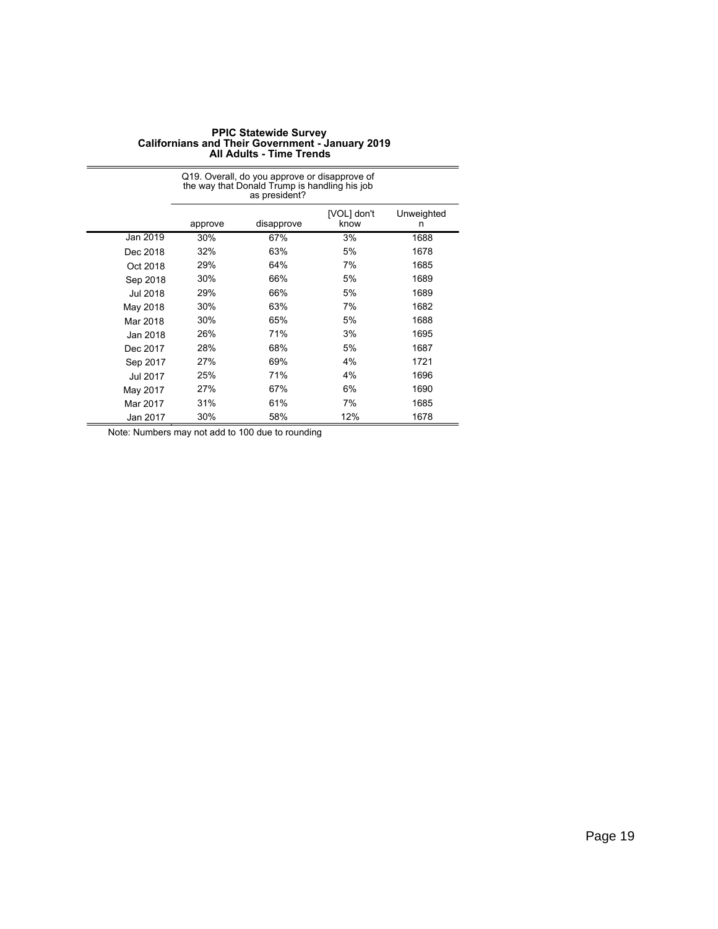|                 | Q19. Overall, do you approve or disapprove of<br>the way that Donald Trump is handling his job<br>as president? |            |                     |                 |  |  |
|-----------------|-----------------------------------------------------------------------------------------------------------------|------------|---------------------|-----------------|--|--|
|                 | approve                                                                                                         | disapprove | [VOL] don't<br>know | Unweighted<br>n |  |  |
| Jan 2019        | 30%                                                                                                             | 67%        | 3%                  | 1688            |  |  |
| Dec 2018        | 32%                                                                                                             | 63%        | 5%                  | 1678            |  |  |
| Oct 2018        | 29%                                                                                                             | 64%        | 7%                  | 1685            |  |  |
| Sep 2018        | 30%                                                                                                             | 66%        | 5%                  | 1689            |  |  |
| <b>Jul 2018</b> | 29%                                                                                                             | 66%        | 5%                  | 1689            |  |  |
| May 2018        | 30%                                                                                                             | 63%        | 7%                  | 1682            |  |  |
| Mar 2018        | 30%                                                                                                             | 65%        | 5%                  | 1688            |  |  |
| Jan 2018        | 26%                                                                                                             | 71%        | 3%                  | 1695            |  |  |
| Dec 2017        | 28%                                                                                                             | 68%        | 5%                  | 1687            |  |  |
| Sep 2017        | 27%                                                                                                             | 69%        | 4%                  | 1721            |  |  |
| Jul 2017        | 25%                                                                                                             | 71%        | 4%                  | 1696            |  |  |
| May 2017        | 27%                                                                                                             | 67%        | 6%                  | 1690            |  |  |
| Mar 2017        | 31%                                                                                                             | 61%        | 7%                  | 1685            |  |  |
| Jan 2017        | 30%                                                                                                             | 58%        | 12%                 | 1678            |  |  |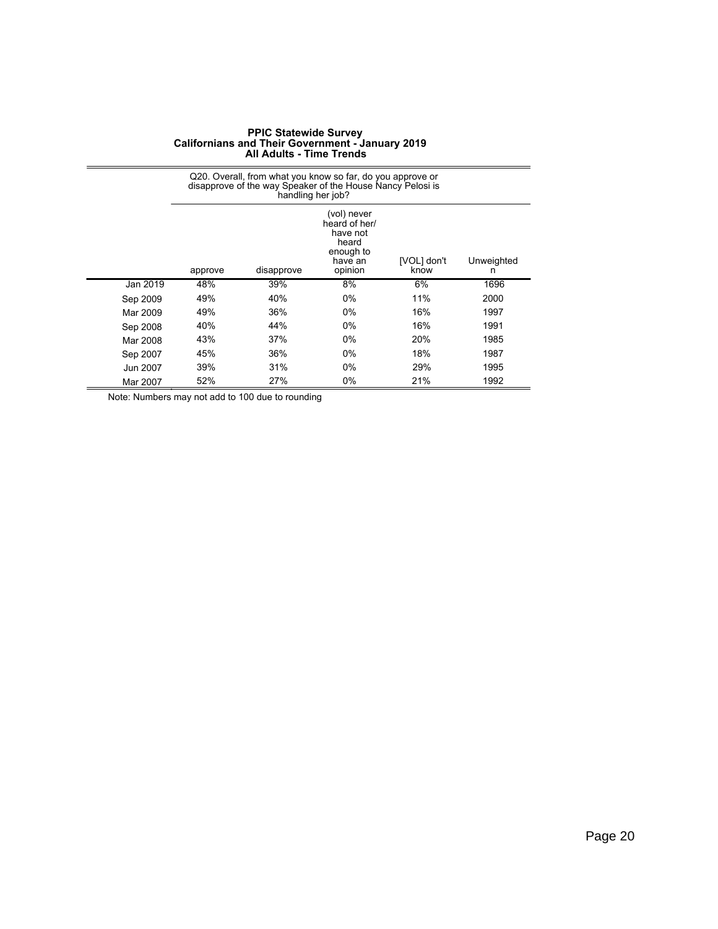|          | Q20. Overall, from what you know so far, do you approve or<br>disapprove of the way Speaker of the House Nancy Pelosi is<br>handling her job?           |     |       |     |      |  |  |
|----------|---------------------------------------------------------------------------------------------------------------------------------------------------------|-----|-------|-----|------|--|--|
|          | (vol) never<br>heard of her/<br>have not<br>heard<br>enough to<br>[VOL] don't<br>Unweighted<br>have an<br>disapprove<br>opinion<br>know<br>approve<br>n |     |       |     |      |  |  |
| Jan 2019 | 48%                                                                                                                                                     | 39% | 8%    | 6%  | 1696 |  |  |
| Sep 2009 | 49%                                                                                                                                                     | 40% | $0\%$ | 11% | 2000 |  |  |
| Mar 2009 | 49%                                                                                                                                                     | 36% | $0\%$ | 16% | 1997 |  |  |
| Sep 2008 | 40%                                                                                                                                                     | 44% | $0\%$ | 16% | 1991 |  |  |
| Mar 2008 | 43%                                                                                                                                                     | 37% | $0\%$ | 20% | 1985 |  |  |
| Sep 2007 | 45%                                                                                                                                                     | 36% | $0\%$ | 18% | 1987 |  |  |
| Jun 2007 | 39%                                                                                                                                                     | 31% | $0\%$ | 29% | 1995 |  |  |
| Mar 2007 | 52%                                                                                                                                                     | 27% | 0%    | 21% | 1992 |  |  |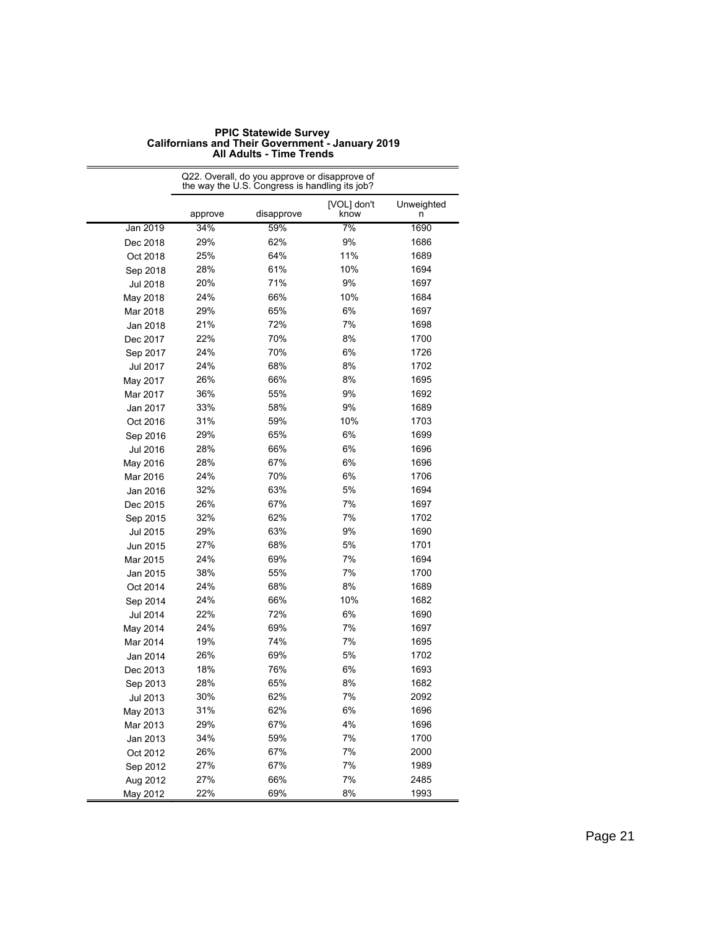|          | the way the U.S. Congress is handling its job? |            |                     |                 |
|----------|------------------------------------------------|------------|---------------------|-----------------|
|          | approve                                        | disapprove | [VOL] don't<br>know | Unweighted<br>n |
| Jan 2019 | 34%                                            | 59%        | 7%                  | 1690            |
| Dec 2018 | 29%                                            | 62%        | 9%                  | 1686            |
| Oct 2018 | 25%                                            | 64%        | 11%                 | 1689            |
| Sep 2018 | 28%                                            | 61%        | 10%                 | 1694            |
| Jul 2018 | 20%                                            | 71%        | 9%                  | 1697            |
| May 2018 | 24%                                            | 66%        | 10%                 | 1684            |
| Mar 2018 | 29%                                            | 65%        | 6%                  | 1697            |
| Jan 2018 | 21%                                            | 72%        | 7%                  | 1698            |
| Dec 2017 | 22%                                            | 70%        | 8%                  | 1700            |
| Sep 2017 | 24%                                            | 70%        | 6%                  | 1726            |
| Jul 2017 | 24%                                            | 68%        | 8%                  | 1702            |
| May 2017 | 26%                                            | 66%        | 8%                  | 1695            |
| Mar 2017 | 36%                                            | 55%        | 9%                  | 1692            |
| Jan 2017 | 33%                                            | 58%        | 9%                  | 1689            |
| Oct 2016 | 31%                                            | 59%        | 10%                 | 1703            |
| Sep 2016 | 29%                                            | 65%        | 6%                  | 1699            |
| Jul 2016 | 28%                                            | 66%        | 6%                  | 1696            |
| May 2016 | 28%                                            | 67%        | 6%                  | 1696            |
| Mar 2016 | 24%                                            | 70%        | 6%                  | 1706            |
| Jan 2016 | 32%                                            | 63%        | 5%                  | 1694            |
| Dec 2015 | 26%                                            | 67%        | 7%                  | 1697            |
| Sep 2015 | 32%                                            | 62%        | 7%                  | 1702            |
| Jul 2015 | 29%                                            | 63%        | 9%                  | 1690            |
| Jun 2015 | 27%                                            | 68%        | 5%                  | 1701            |
| Mar 2015 | 24%                                            | 69%        | 7%                  | 1694            |
| Jan 2015 | 38%                                            | 55%        | 7%                  | 1700            |
| Oct 2014 | 24%                                            | 68%        | 8%                  | 1689            |
| Sep 2014 | 24%                                            | 66%        | 10%                 | 1682            |
| Jul 2014 | 22%                                            | 72%        | 6%                  | 1690            |
| May 2014 | 24%                                            | 69%        | 7%                  | 1697            |
| Mar 2014 | 19%                                            | 74%        | 7%                  | 1695            |
| Jan 2014 | 26%                                            | 69%        | 5%                  | 1702            |
| Dec 2013 | 18%                                            | 76%        | 6%                  | 1693            |
| Sep 2013 | 28%                                            | 65%        | 8%                  | 1682            |
| Jul 2013 | 30%                                            | 62%        | 7%                  | 2092            |
| May 2013 | 31%                                            | 62%        | 6%                  | 1696            |
| Mar 2013 | 29%                                            | 67%        | 4%                  | 1696            |
| Jan 2013 | 34%                                            | 59%        | 7%                  | 1700            |
| Oct 2012 | 26%                                            | 67%        | 7%                  | 2000            |
| Sep 2012 | 27%                                            | 67%        | 7%                  | 1989            |
| Aug 2012 | 27%                                            | 66%        | 7%                  | 2485            |
| May 2012 | 22%                                            | 69%        | 8%                  | 1993            |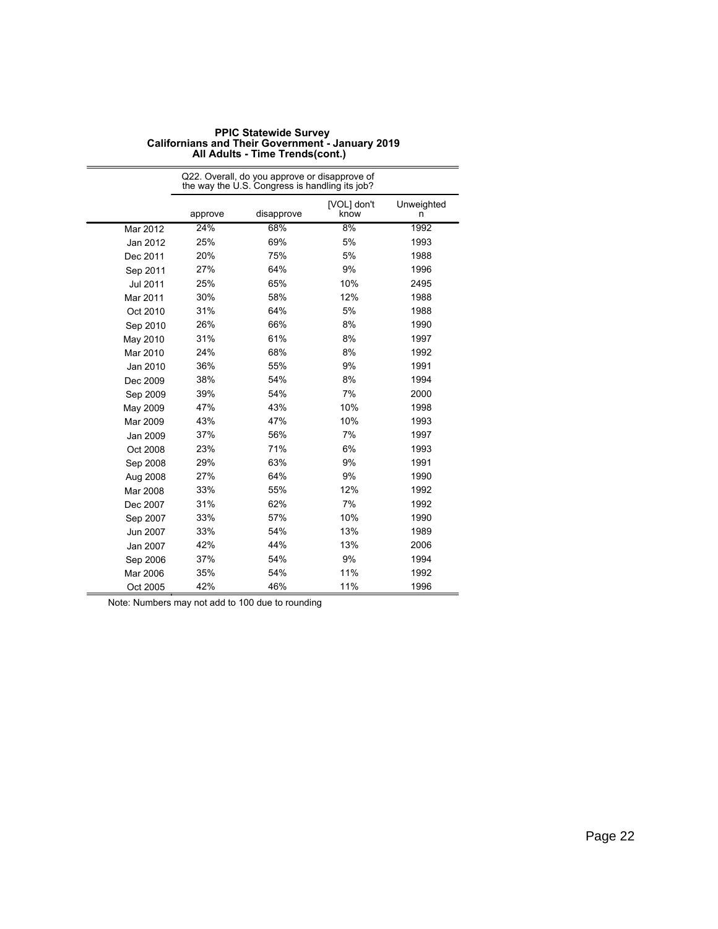|          | Q22. Overall, do you approve or disapprove of<br>the way the U.S. Congress is handling its job? |            |                     |                 |
|----------|-------------------------------------------------------------------------------------------------|------------|---------------------|-----------------|
|          | approve                                                                                         | disapprove | [VOL] don't<br>know | Unweighted<br>n |
| Mar 2012 | 24%                                                                                             | 68%        | 8%                  | 1992            |
| Jan 2012 | 25%                                                                                             | 69%        | 5%                  | 1993            |
| Dec 2011 | 20%                                                                                             | 75%        | 5%                  | 1988            |
| Sep 2011 | 27%                                                                                             | 64%        | 9%                  | 1996            |
| Jul 2011 | 25%                                                                                             | 65%        | 10%                 | 2495            |
| Mar 2011 | 30%                                                                                             | 58%        | 12%                 | 1988            |
| Oct 2010 | 31%                                                                                             | 64%        | 5%                  | 1988            |
| Sep 2010 | 26%                                                                                             | 66%        | 8%                  | 1990            |
| May 2010 | 31%                                                                                             | 61%        | 8%                  | 1997            |
| Mar 2010 | 24%                                                                                             | 68%        | 8%                  | 1992            |
| Jan 2010 | 36%                                                                                             | 55%        | 9%                  | 1991            |
| Dec 2009 | 38%                                                                                             | 54%        | 8%                  | 1994            |
| Sep 2009 | 39%                                                                                             | 54%        | 7%                  | 2000            |
| May 2009 | 47%                                                                                             | 43%        | 10%                 | 1998            |
| Mar 2009 | 43%                                                                                             | 47%        | 10%                 | 1993            |
| Jan 2009 | 37%                                                                                             | 56%        | 7%                  | 1997            |
| Oct 2008 | 23%                                                                                             | 71%        | 6%                  | 1993            |
| Sep 2008 | 29%                                                                                             | 63%        | 9%                  | 1991            |
| Aug 2008 | 27%                                                                                             | 64%        | 9%                  | 1990            |
| Mar 2008 | 33%                                                                                             | 55%        | 12%                 | 1992            |
| Dec 2007 | 31%                                                                                             | 62%        | 7%                  | 1992            |
| Sep 2007 | 33%                                                                                             | 57%        | 10%                 | 1990            |
| Jun 2007 | 33%                                                                                             | 54%        | 13%                 | 1989            |
| Jan 2007 | 42%                                                                                             | 44%        | 13%                 | 2006            |
| Sep 2006 | 37%                                                                                             | 54%        | 9%                  | 1994            |
| Mar 2006 | 35%                                                                                             | 54%        | 11%                 | 1992            |
| Oct 2005 | 42%                                                                                             | 46%        | 11%                 | 1996            |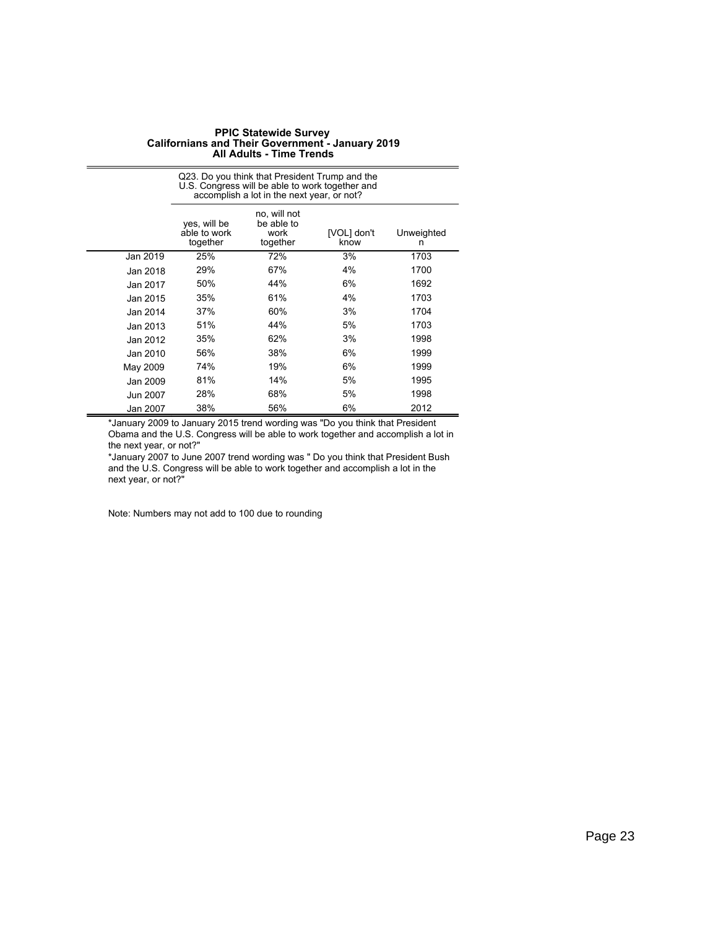|          | Q23. Do you think that President Trump and the<br>U.S. Congress will be able to work together and<br>accomplish a lot in the next year, or not? |     |    |      |  |
|----------|-------------------------------------------------------------------------------------------------------------------------------------------------|-----|----|------|--|
|          | no, will not<br>be able to<br>yes, will be<br>able to work<br>[VOL] don't<br>Unweighted<br>work<br>together<br>together<br>know<br>n            |     |    |      |  |
| Jan 2019 | 25%                                                                                                                                             | 72% | 3% | 1703 |  |
| Jan 2018 | 29%                                                                                                                                             | 67% | 4% | 1700 |  |
| Jan 2017 | 50%                                                                                                                                             | 44% | 6% | 1692 |  |
| Jan 2015 | 35%                                                                                                                                             | 61% | 4% | 1703 |  |
| Jan 2014 | 37%                                                                                                                                             | 60% | 3% | 1704 |  |
| Jan 2013 | 51%                                                                                                                                             | 44% | 5% | 1703 |  |
| Jan 2012 | 35%                                                                                                                                             | 62% | 3% | 1998 |  |
| Jan 2010 | 56%                                                                                                                                             | 38% | 6% | 1999 |  |
| May 2009 | 74%                                                                                                                                             | 19% | 6% | 1999 |  |
| Jan 2009 | 81%                                                                                                                                             | 14% | 5% | 1995 |  |
| Jun 2007 | 28%                                                                                                                                             | 68% | 5% | 1998 |  |
| Jan 2007 | 38%                                                                                                                                             | 56% | 6% | 2012 |  |

\*January 2009 to January 2015 trend wording was "Do you think that President Obama and the U.S. Congress will be able to work together and accomplish a lot in the next year, or not?"

\*January 2007 to June 2007 trend wording was " Do you think that President Bush and the U.S. Congress will be able to work together and accomplish a lot in the next year, or not?"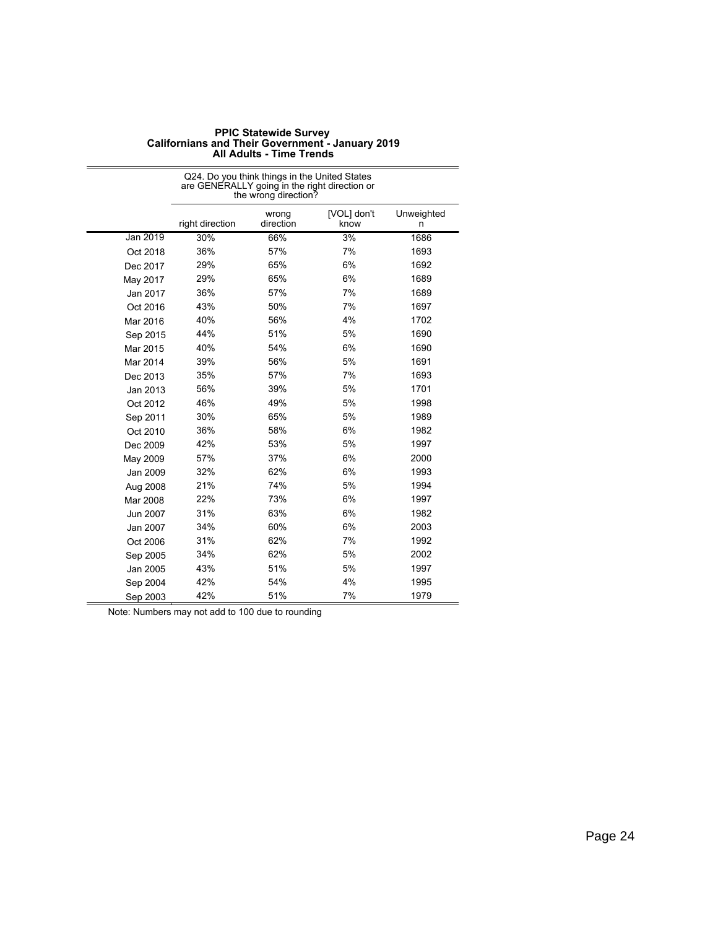|          | Q24. Do you think things in the United States<br>are GENERALLY going in the right direction or<br>the wrong direction? |                    |                     |                 |
|----------|------------------------------------------------------------------------------------------------------------------------|--------------------|---------------------|-----------------|
|          | right direction                                                                                                        | wrong<br>direction | [VOL] don't<br>know | Unweighted<br>n |
| Jan 2019 | 30%                                                                                                                    | 66%                | 3%                  | 1686            |
| Oct 2018 | 36%                                                                                                                    | 57%                | 7%                  | 1693            |
| Dec 2017 | 29%                                                                                                                    | 65%                | 6%                  | 1692            |
| May 2017 | 29%                                                                                                                    | 65%                | 6%                  | 1689            |
| Jan 2017 | 36%                                                                                                                    | 57%                | 7%                  | 1689            |
| Oct 2016 | 43%                                                                                                                    | 50%                | 7%                  | 1697            |
| Mar 2016 | 40%                                                                                                                    | 56%                | 4%                  | 1702            |
| Sep 2015 | 44%                                                                                                                    | 51%                | 5%                  | 1690            |
| Mar 2015 | 40%                                                                                                                    | 54%                | 6%                  | 1690            |
| Mar 2014 | 39%                                                                                                                    | 56%                | 5%                  | 1691            |
| Dec 2013 | 35%                                                                                                                    | 57%                | 7%                  | 1693            |
| Jan 2013 | 56%                                                                                                                    | 39%                | 5%                  | 1701            |
| Oct 2012 | 46%                                                                                                                    | 49%                | 5%                  | 1998            |
| Sep 2011 | 30%                                                                                                                    | 65%                | 5%                  | 1989            |
| Oct 2010 | 36%                                                                                                                    | 58%                | 6%                  | 1982            |
| Dec 2009 | 42%                                                                                                                    | 53%                | 5%                  | 1997            |
| May 2009 | 57%                                                                                                                    | 37%                | 6%                  | 2000            |
| Jan 2009 | 32%                                                                                                                    | 62%                | 6%                  | 1993            |
| Aug 2008 | 21%                                                                                                                    | 74%                | 5%                  | 1994            |
| Mar 2008 | 22%                                                                                                                    | 73%                | 6%                  | 1997            |
| Jun 2007 | 31%                                                                                                                    | 63%                | 6%                  | 1982            |
| Jan 2007 | 34%                                                                                                                    | 60%                | 6%                  | 2003            |
| Oct 2006 | 31%                                                                                                                    | 62%                | 7%                  | 1992            |
| Sep 2005 | 34%                                                                                                                    | 62%                | 5%                  | 2002            |
| Jan 2005 | 43%                                                                                                                    | 51%                | 5%                  | 1997            |
| Sep 2004 | 42%                                                                                                                    | 54%                | 4%                  | 1995            |
| Sep 2003 | 42%                                                                                                                    | 51%                | 7%                  | 1979            |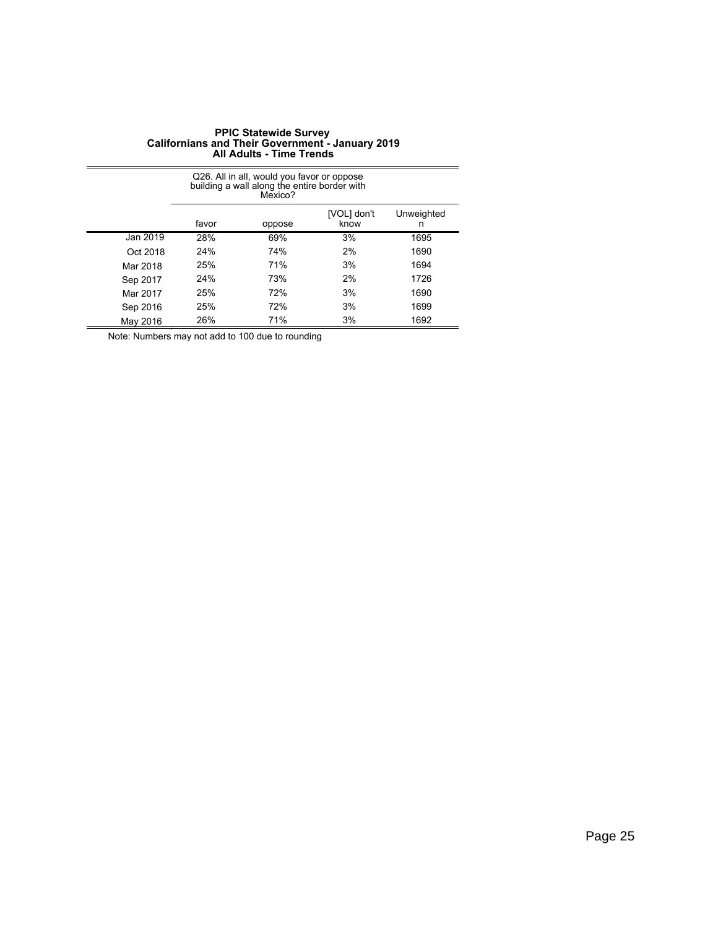|                                                           | Q26. All in all, would you favor or oppose<br>building a wall along the entire border with<br>Mexico? |     |    |      |  |
|-----------------------------------------------------------|-------------------------------------------------------------------------------------------------------|-----|----|------|--|
| [VOL] don't<br>Unweighted<br>favor<br>know<br>oppose<br>n |                                                                                                       |     |    |      |  |
| Jan 2019                                                  | 28%                                                                                                   | 69% | 3% | 1695 |  |
| Oct 2018                                                  | 24%                                                                                                   | 74% | 2% | 1690 |  |
| Mar 2018                                                  | 25%                                                                                                   | 71% | 3% | 1694 |  |
| Sep 2017                                                  | 24%                                                                                                   | 73% | 2% | 1726 |  |
| Mar 2017                                                  | 25%                                                                                                   | 72% | 3% | 1690 |  |
| Sep 2016                                                  | 25%                                                                                                   | 72% | 3% | 1699 |  |
| May 2016                                                  | 26%                                                                                                   | 71% | 3% | 1692 |  |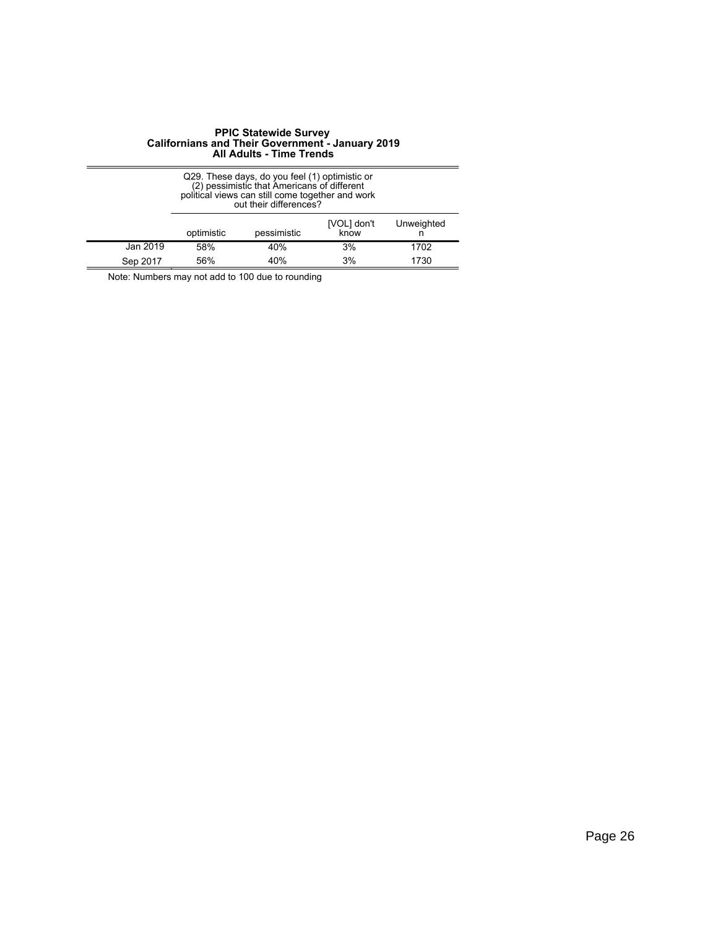|          | Q29. These days, do you feel (1) optimistic or<br>(2) pessimistic that Americans of different<br>political views can still come together and work<br>out their differences? |            |    |      |
|----------|-----------------------------------------------------------------------------------------------------------------------------------------------------------------------------|------------|----|------|
|          | [VOL] don't<br>know                                                                                                                                                         | Unweighted |    |      |
| Jan 2019 | 58%                                                                                                                                                                         | 40%        | 3% | 1702 |
| Sep 2017 | 56%                                                                                                                                                                         | 40%        | 3% | 1730 |